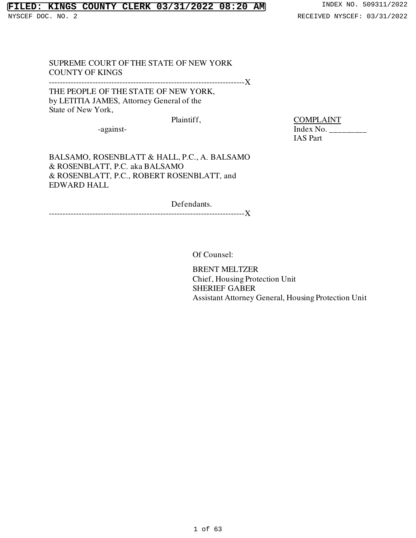# **FILED: KINGS COUNTY CLERK 03/31/2022 08:20 AM** INDEX NO. 509311/2022

SUPREME COURT OF THE STATE OF NEW YORK COUNTY OF KINGS

------------------------------------------------------------------------X

THE PEOPLE OF THE STATE OF NEW YORK, by LETITIA JAMES, Attorney General of the State of New York,

Plaintiff, COMPLAINT

 -against- Index No. \_\_\_\_\_\_\_\_\_ IAS Part

BALSAMO, ROSENBLATT & HALL, P.C., A. BALSAMO & ROSENBLATT, P.C. aka BALSAMO & ROSENBLATT, P.C., ROBERT ROSENBLATT, and EDWARD HALL

Defendants. ------------------------------------------------------------------------X

Of Counsel:

BRENT MELTZER Chief, Housing Protection Unit SHERIEF GABER Assistant Attorney General, Housing Protection Unit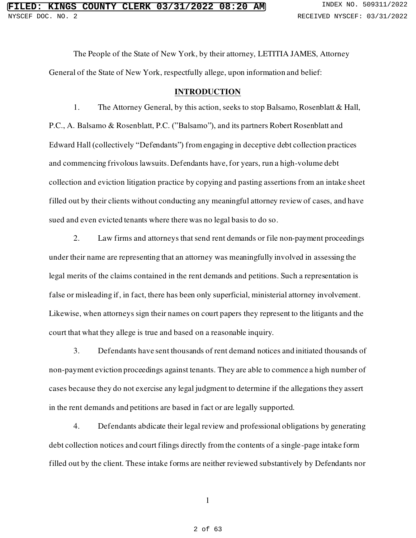The People of the State of New York, by their attorney, LETITIA JAMES, Attorney General of the State of New York, respectfully allege, upon information and belief:

### **INTRODUCTION**

1. The Attorney General, by this action, seeks to stop Balsamo, Rosenblatt & Hall, P.C., A. Balsamo & Rosenblatt, P.C. ("Balsamo"), and its partners Robert Rosenblatt and Edward Hall (collectively "Defendants") from engaging in deceptive debt collection practices and commencing frivolous lawsuits. Defendants have, for years, run a high-volume debt collection and eviction litigation practice by copying and pasting assertions from an intake sheet filled out by their clients without conducting any meaningful attorney review of cases, and have sued and even evicted tenants where there was no legal basis to do so.

2. Law firms and attorneys that send rent demands or file non-payment proceedings under their name are representing that an attorney was meaningfully involved in assessing the legal merits of the claims contained in the rent demands and petitions. Such a representation is false or misleading if, in fact, there has been only superficial, ministerial attorney involvement. Likewise, when attorneys sign their names on court papers they represent to the litigants and the court that what they allege is true and based on a reasonable inquiry.

3. Defendants have sent thousands of rent demand notices and initiated thousands of non-payment eviction proceedings against tenants. They are able to commence a high number of cases because they do not exercise any legal judgment to determine if the allegations they assert in the rent demands and petitions are based in fact or are legally supported.

4. Defendants abdicate their legal review and professional obligations by generating debt collection notices and court filings directly from the contents of a single-page intake form filled out by the client. These intake forms are neither reviewed substantively by Defendants nor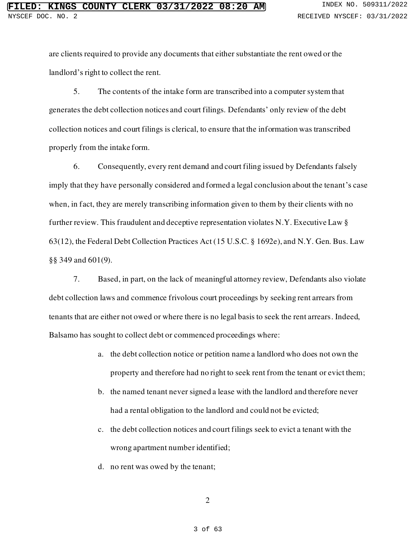are clients required to provide any documents that either substantiate the rent owed or the landlord's right to collect the rent.

5. The contents of the intake form are transcribed into a computer system that generates the debt collection notices and court filings. Defendants' only review of the debt collection notices and court filings is clerical, to ensure that the information was transcribed properly from the intake form.

6. Consequently, every rent demand and court filing issued by Defendants falsely imply that they have personally considered and formed a legal conclusion about the tenant's case when, in fact, they are merely transcribing information given to them by their clients with no further review. This fraudulent and deceptive representation violates N.Y. Executive Law § 63(12), the Federal Debt Collection Practices Act [\(15 U.S.C. § 1692e](https://www.westlaw.com/Document/NB7DBFC20AFF711D8803AE0632FEDDFBF/View/FullText.html?transitionType=Default&contextData=(sc.Default)&VR=3.0&RS=da3.0)), an[d N.Y. Gen. Bus. Law](https://www.westlaw.com/Document/NDD10F7E0C61011E3B8EA8CA03832A50F/View/FullText.html?transitionType=Default&contextData=(sc.Default)&VR=3.0&RS=da3.0)  [§§ 349](https://www.westlaw.com/Document/NDD10F7E0C61011E3B8EA8CA03832A50F/View/FullText.html?transitionType=Default&contextData=(sc.Default)&VR=3.0&RS=da3.0) and 601(9).

7. Based, in part, on the lack of meaningful attorney review, Defendants also violate debt collection laws and commence frivolous court proceedings by seeking rent arrears from tenants that are either not owed or where there is no legal basis to seek the rent arrears. Indeed, Balsamo has sought to collect debt or commenced proceedings where:

- a. the debt collection notice or petition name a landlord who does not own the property and therefore had no right to seek rent from the tenant or evict them;
- b. the named tenant never signed a lease with the landlord and therefore never had a rental obligation to the landlord and could not be evicted;
- c. the debt collection notices and court filings seek to evict a tenant with the wrong apartment number identified;
- d. no rent was owed by the tenant;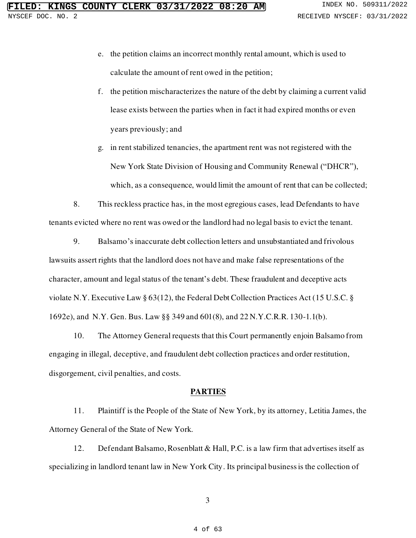- e. the petition claims an incorrect monthly rental amount, which is used to calculate the amount of rent owed in the petition;
- f. the petition mischaracterizes the nature of the debt by claiming a current valid lease exists between the parties when in fact it had expired months or even years previously; and
- g. in rent stabilized tenancies, the apartment rent was not registered with the New York State Division of Housing and Community Renewal ("DHCR"), which, as a consequence, would limit the amount of rent that can be collected;

8. This reckless practice has, in the most egregious cases, lead Defendants to have tenants evicted where no rent was owed or the landlord had no legal basis to evict the tenant.

9. Balsamo's inaccurate debt collection letters and unsubstantiated and frivolous lawsuits assert rights that the landlord does not have and make false representations of the character, amount and legal status of the tenant's debt. These fraudulent and deceptive acts violate N.Y. Executive Law § 63(12), the Federal Debt Collection Practices Act [\(15 U.S.C. §](https://www.westlaw.com/Document/NB7DBFC20AFF711D8803AE0632FEDDFBF/View/FullText.html?transitionType=Default&contextData=(sc.Default)&VR=3.0&RS=da3.0)  [1692e\)](https://www.westlaw.com/Document/NB7DBFC20AFF711D8803AE0632FEDDFBF/View/FullText.html?transitionType=Default&contextData=(sc.Default)&VR=3.0&RS=da3.0), an[d N.Y. Gen. Bus. Law §§ 349](https://www.westlaw.com/Document/NDD10F7E0C61011E3B8EA8CA03832A50F/View/FullText.html?transitionType=Default&contextData=(sc.Default)&VR=3.0&RS=da3.0) and 601(8), an[d 22 N.Y.C.R.R. 130-1.1\(b\)](https://www.westlaw.com/Document/I1C1E36A0BDA111DE9F5ECEFD6C354282/View/FullText.html?transitionType=Default&contextData=(sc.Default)&VR=3.0&RS=da3.0).

10. The Attorney General requests that this Court permanently enjoin Balsamo from engaging in illegal, deceptive, and fraudulent debt collection practices and order restitution, disgorgement, civil penalties, and costs.

## **PARTIES**

11. Plaintiff is the People of the State of New York, by its attorney, Letitia James, the Attorney General of the State of New York.

12. Defendant Balsamo, Rosenblatt & Hall, P.C. is a law firm that advertises itself as specializing in landlord tenant law in New York City. Its principal business is the collection of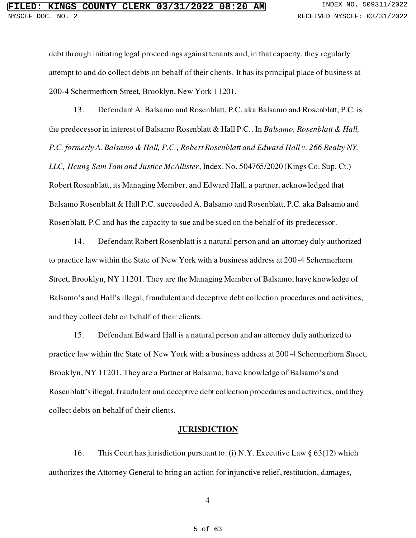debt through initiating legal proceedings against tenants and, in that capacity, they regularly attempt to and do collect debts on behalf of their clients. It has its principal place of business at 200-4 Schermerhorn Street, Brooklyn, New York 11201.

13. Defendant A. Balsamo and Rosenblatt, P.C. aka Balsamo and Rosenblatt, P.C. is the predecessor in interest of Balsamo Rosenblatt & Hall P.C.. In *Balsamo, Rosenblatt & Hall, P.C. formerly A. Balsamo & Hall, P.C., Robert Rosenblatt and Edward Hall v. 266 Realty NY, LLC, Heung Sam Tam and Justice McAllister*, Index. No. 504765/2020 (Kings Co. Sup. Ct.) Robert Rosenblatt, its Managing Member, and Edward Hall, a partner, acknowledged that Balsamo Rosenblatt & Hall P.C. succeeded A. Balsamo and Rosenblatt, P.C. aka Balsamo and Rosenblatt, P.C and has the capacity to sue and be sued on the behalf of its predecessor.

14. Defendant Robert Rosenblatt is a natural person and an attorney duly authorized to practice law within the State of New York with a business address at 200-4 Schermerhorn Street, Brooklyn, NY 11201. They are the Managing Member of Balsamo, have knowledge of Balsamo's and Hall's illegal, fraudulent and deceptive debt collection procedures and activities, and they collect debt on behalf of their clients.

15. Defendant Edward Hall is a natural person and an attorney duly authorized to practice law within the State of New York with a business address at 200-4 Schermerhorn Street, Brooklyn, NY 11201. They are a Partner at Balsamo, have knowledge of Balsamo's and Rosenblatt's illegal, fraudulent and deceptive debt collection procedures and activities, and they collect debts on behalf of their clients.

## **JURISDICTION**

16. This Court has jurisdiction pursuant to: (i) N.Y. Executive Law § 63(12) which authorizes the Attorney General to bring an action for injunctive relief, restitution, damages,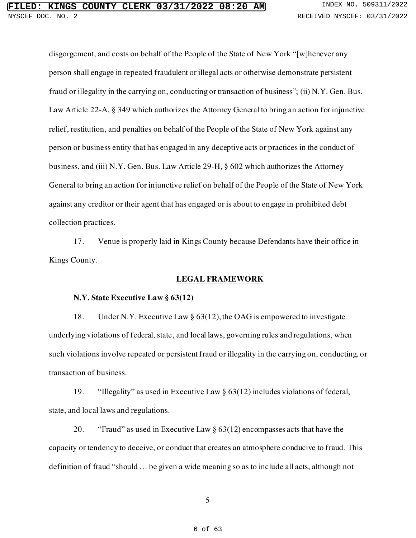disgorgement, and costs on behalf of the People of the State of New York "[w]henever any person shall engage in repeated fraudulent or illegal acts or otherwise demonstrate persistent fraud or illegality in the carrying on, conducting or transaction of business"; (ii) N.Y. Gen. Bus. Law Article 22-A, § 349 which authorizes the Attorney General to bring an action for injunctive relief, restitution, and penalties on behalf of the People of the State of New York against any person or business entity that has engaged in any deceptive acts or practices in the conduct of business, and (iii) N.Y. Gen. Bus. Law Article 29-H, § 602 which authorizes the Attorney General to bring an action for injunctive relief on behalf of the People of the State of New York against any creditor or their agent that has engaged or is about to engage in prohibited debt collection practices.

17. Venue is properly laid in Kings County because Defendants have their office in Kings County.

## **LEGAL FRAMEWORK**

## **N.Y. State Executive Law § 63(12)**

18. Under N.Y. Executive Law § 63(12), the OAG is empowered to investigate underlying violations of federal, state, and local laws, governing rules and regulations, when such violations involve repeated or persistent fraud or illegality in the carrying on, conducting, or transaction of business.

19. "Illegality" as used in Executive Law § 63(12) includes violations of federal, state, and local laws and regulations.

20. "Fraud" as used in Executive Law  $\S$  63(12) encompasses acts that have the capacity or tendency to deceive, or conduct that creates an atmosphere conducive to fraud. This definition of fraud "should … be given a wide meaning so as to include all acts, although not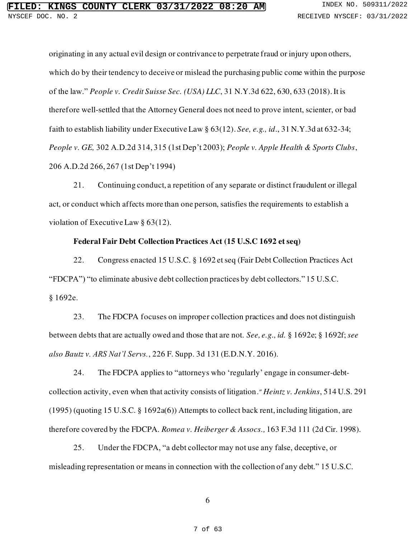originating in any actual evil design or contrivance to perpetrate fraud or injury upon others, which do by their tendency to deceive or mislead the purchasing public come within the purpose of the law." *People v. Credit Suisse Sec. (USA) LLC*, 31 N.Y.3d 622, 630, 633 (2018). It is therefore well-settled that the Attorney General does not need to prove intent, scienter, or bad faith to establish liability under Executive Law § 63(12). *See, e.g., id*., 31 N.Y.3d at 632-34; *People v. GE,* 302 A.D.2d 314, 315 (1st Dep't 2003); *People v. Apple Health & Sports Clubs*, 206 A.D.2d 266, 267 (1st Dep't 1994)

21. Continuing conduct, a repetition of any separate or distinct fraudulent or illegal act, or conduct which affects more than one person, satisfies the requirements to establish a violation of Executive Law § 63(12).

### **Federal Fair Debt Collection Practices Act (15 U.S.C 1692 et seq)**

22. Congress enacted 15 U.S.C. § 1692 et seq (Fair Debt Collection Practices Act "FDCPA") "to eliminate abusive debt collection practices by debt collectors." 15 U.S.C. § 1692e.

23. The FDCPA focuses on improper collection practices and does not distinguish between debts that are actually owed and those that are not. *See, e.g., id.* § 1692e; § 1692f; *see also Bautz v. ARS Nat'l Servs.*, 226 F. Supp. 3d 131 (E.D.N.Y. 2016).

24. The FDCPA applies to "attorneys who 'regularly' engage in consumer-debtcollection activity, even when that activity consists of litigation." *Heintz v. Jenkins*[, 514 U.S. 291](https://advance.lexis.com/search/?pdmfid=1000516&crid=fd4838b1-b5a6-4192-9c69-e25c2ba7fc86&pdsearchterms=131+L.+Ed.+2d+395&pdtypeofsearch=searchboxclick&pdsearchtype=SearchBox&pdstartin=&pdpsf=&pdqttype=and&pdquerytemplateid=&ecomp=5br5kkk&earg=pdsf&prid=4e8a2829-e715-4fdf-bf22-925c90ab5cea) (1995) (quoting 15 U.S.C. § 1692a(6)) Attempts to collect back rent, including litigation, are therefore covered by the FDCPA. *Romea v. Heiberger & Assocs.,* 163 F.3d 111 (2d Cir. 1998).

25. Under the FDCPA, "a debt collector may not use any false, deceptive, or misleading representation or means in connection with the collection of any debt." 15 U.S.C.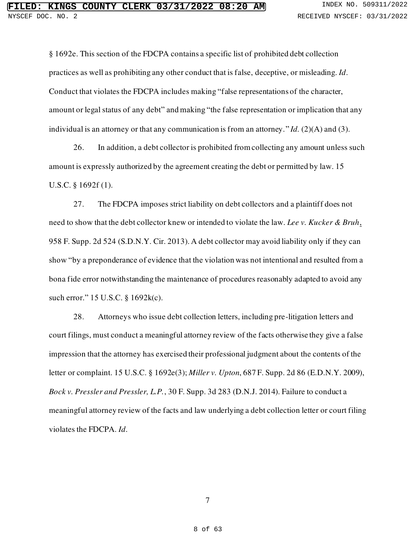§ 1692e. This section of the FDCPA contains a specific list of prohibited debt collection practices as well as prohibiting any other conduct that is false, deceptive, or misleading. *Id*. Conduct that violates the FDCPA includes making "false representations of the character, amount or legal status of any debt" and making "the false representation or implication that any individual is an attorney or that any communication is from an attorney." *Id.* (2)(A) and (3).

26. In addition, a debt collector is prohibited from collecting any amount unless such amount is expressly authorized by the agreement creating the debt or permitted by law. 15 U.S.C. § 1692f (1).

27. The FDCPA imposes strict liability on debt collectors and a plaintiff does not need to show that the debt collector knew or intended to violate the law. *Lee v. Kucker & Bruh*, 958 F. Supp. 2d 524 (S.D.N.Y. Cir. 2013). A debt collector may avoid liability only if they can show "by a preponderance of evidence that the violation was not intentional and resulted from a bona fide error notwithstanding the maintenance of procedures reasonably adapted to avoid any such error." 15 U.S.C. § 1692k(c).

28. Attorneys who issue debt collection letters, including pre-litigation letters and court filings, must conduct a meaningful attorney review of the facts otherwise they give a false impression that the attorney has exercised their professional judgment about the contents of the letter or complaint. 15 U.S.C. § 1692e(3); *Miller v. Upton*, 687 F. Supp. 2d 86 (E.D.N.Y. 2009), *Bock v. Pressler and Pressler, L.P.*, 30 F. Supp. 3d 283 (D.N.J. 2014). Failure to conduct a meaningful attorney review of the facts and law underlying a debt collection letter or court filing violates the FDCPA. *Id*.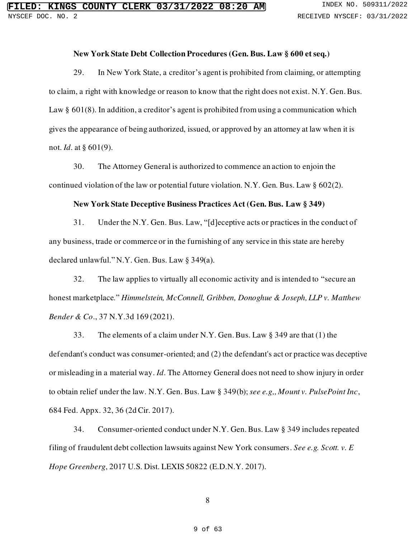### **New York State Debt Collection Procedures (Gen. Bus. Law § 600 et seq.)**

29. In New York State, a creditor's agent is prohibited from claiming, or attempting to claim, a right with knowledge or reason to know that the right does not exist. N.Y. Gen. Bus. Law § 601(8). In addition, a creditor's agent is prohibited from using a communication which gives the appearance of being authorized, issued, or approved by an attorney at law when it is not. *Id*. at § 601(9).

30. The Attorney General is authorized to commence an action to enjoin the continued violation of the law or potential future violation. N.Y. Gen. Bus. Law § 602(2).

## **New York State Deceptive Business Practices Act (Gen. Bus. Law § 349)**

31. Under the N.Y. Gen. Bus. Law, "[d]eceptive acts or practices in the conduct of any business, trade or commerce or in the furnishing of any service in this state are hereby declared unlawful." N.Y. Gen. Bus. Law § 349(a).

32. The law applies to virtually all economic activity and is intended to "secure an honest marketplace." *Himmelstein, McConnell, Gribben, Donoghue & Joseph, LLP v. Matthew Bender & Co*., 37 N.Y.3d 169 (2021).

33. The elements of a claim under N.Y. Gen. Bus. Law § 349 are that (1) the defendant's conduct was consumer-oriented; and (2) the defendant's act or practice was deceptive or misleading in a material way. *Id*. The Attorney General does not need to show injury in order to obtain relief under the law. N.Y. Gen. Bus. Law § 349(b); *see e.g,, Mount v. PulsePoint Inc*, 684 Fed. Appx. 32, 36 (2d Cir. 2017).

34. Consumer-oriented conduct under N.Y. Gen. Bus. Law § 349 includes repeated filing of fraudulent debt collection lawsuits against New York consumers. *See e.g. Scott. v. E Hope Greenberg*, 2017 U.S. Dist. LEXIS 50822 (E.D.N.Y. 2017).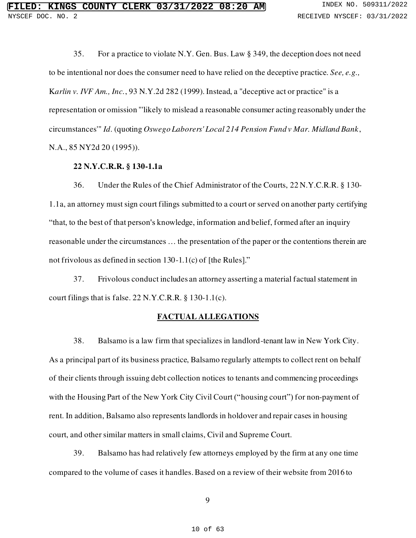35. For a practice to violate N.Y. Gen. Bus. Law § 349, the deception does not need to be intentional nor does the consumer need to have relied on the deceptive practice. *See, e.g.,* K*arlin v. IVF Am., Inc.*, 93 N.Y.2d 282 (1999). Instead, a "deceptive act or practice" is a representation or omission "'likely to mislead a reasonable consumer acting reasonably under the circumstances'" *Id*. (quoting *Oswego Laborers' Local 214 Pension Fund v Mar. Midland Bank*, N.A., 85 NY2d 20 (1995)).

## **22 N.Y.C.R.R. § 130-1.1a**

36. Under the Rules of the Chief Administrator of the Courts, 22 N.Y.C.R.R. § 130- 1.1a, an attorney must sign court filings submitted to a court or served on another party certifying "that, to the best of that person's knowledge, information and belief, formed after an inquiry reasonable under the circumstances … the presentation of the paper or the contentions therein are not frivolous as defined in section 130-1.1(c) of [the Rules]."

37. Frivolous conduct includes an attorney asserting a material factual statement in court filings that is false. 22 N.Y.C.R.R. § 130-1.1(c).

## **FACTUAL ALLEGATIONS**

38. Balsamo is a law firm that specializes in landlord-tenant law in New York City. As a principal part of its business practice, Balsamo regularly attempts to collect rent on behalf of their clients through issuing debt collection notices to tenants and commencing proceedings with the Housing Part of the New York City Civil Court ("housing court") for non-payment of rent. In addition, Balsamo also represents landlords in holdover and repair cases in housing court, and other similar matters in small claims, Civil and Supreme Court.

39. Balsamo has had relatively few attorneys employed by the firm at any one time compared to the volume of cases it handles. Based on a review of their website from 2016 to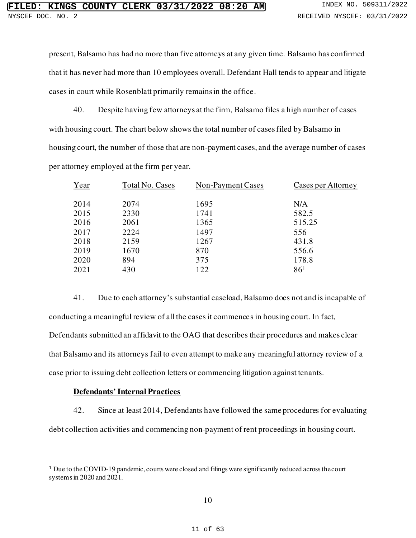present, Balsamo has had no more than five attorneys at any given time. Balsamo has confirmed that it has never had more than 10 employees overall. Defendant Hall tends to appear and litigate cases in court while Rosenblatt primarily remains in the office.

40. Despite having few attorneys at the firm, Balsamo files a high number of cases with housing court. The chart below shows the total number of cases filed by Balsamo in housing court, the number of those that are non-payment cases, and the average number of cases per attorney employed at the firm per year.

| Year | Total No. Cases | Non-Payment Cases | Cases per Attorney |
|------|-----------------|-------------------|--------------------|
| 2014 | 2074            | 1695              | N/A                |
| 2015 | 2330            | 1741              | 582.5              |
| 2016 | 2061            | 1365              | 515.25             |
| 2017 | 2224            | 1497              | 556                |
| 2018 | 2159            | 1267              | 431.8              |
| 2019 | 1670            | 870               | 556.6              |
| 2020 | 894             | 375               | 178.8              |
| 2021 | 430             | 122               | 86 <sup>1</sup>    |

41. Due to each attorney's substantial caseload, Balsamo does not and is incapable of conducting a meaningful review of all the cases it commences in housing court. In fact, Defendants submitted an affidavit to the OAG that describes their procedures and makes clear that Balsamo and its attorneys fail to even attempt to make any meaningful attorney review of a case prior to issuing debt collection letters or commencing litigation against tenants.

## **Defendants' Internal Practices**

42. Since at least 2014, Defendants have followed the same procedures for evaluating debt collection activities and commencing non-payment of rent proceedings in housing court.

<sup>&</sup>lt;sup>1</sup> Due to the COVID-19 pandemic, courts were closed and filings were significantly reduced across the court systems in 2020 and 2021.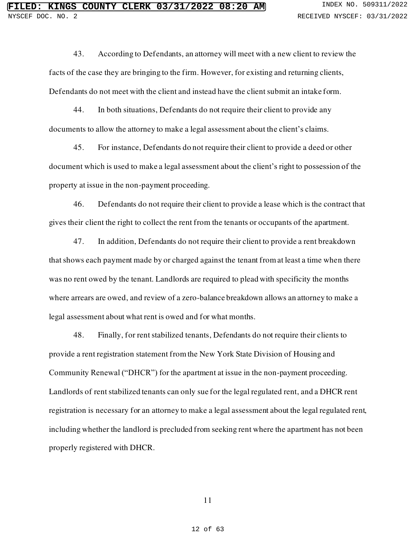43. According to Defendants, an attorney will meet with a new client to review the facts of the case they are bringing to the firm. However, for existing and returning clients, Defendants do not meet with the client and instead have the client submit an intake form.

44. In both situations, Defendants do not require their client to provide any documents to allow the attorney to make a legal assessment about the client's claims.

45. For instance, Defendants do not require their client to provide a deed or other document which is used to make a legal assessment about the client's right to possession of the property at issue in the non-payment proceeding.

46. Defendants do not require their client to provide a lease which is the contract that gives their client the right to collect the rent from the tenants or occupants of the apartment.

47. In addition, Defendants do not require their client to provide a rent breakdown that shows each payment made by or charged against the tenant from at least a time when there was no rent owed by the tenant. Landlords are required to plead with specificity the months where arrears are owed, and review of a zero-balance breakdown allows an attorney to make a legal assessment about what rent is owed and for what months.

48. Finally, for rent stabilized tenants, Defendants do not require their clients to provide a rent registration statement from the New York State Division of Housing and Community Renewal ("DHCR") for the apartment at issue in the non-payment proceeding. Landlords of rent stabilized tenants can only sue for the legal regulated rent, and a DHCR rent registration is necessary for an attorney to make a legal assessment about the legal regulated rent, including whether the landlord is precluded from seeking rent where the apartment has not been properly registered with DHCR.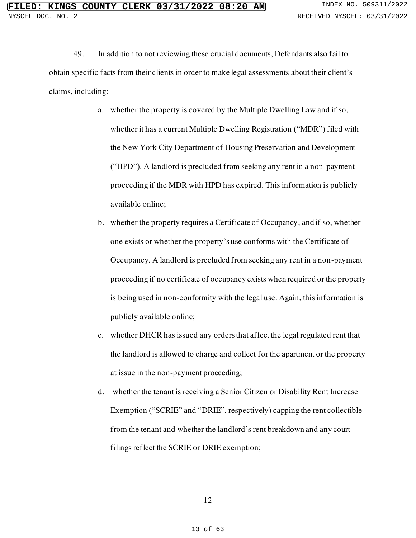49. In addition to not reviewing these crucial documents, Defendants also fail to obtain specific facts from their clients in order to make legal assessments about their client's claims, including:

- a. whether the property is covered by the Multiple Dwelling Law and if so, whether it has a current Multiple Dwelling Registration ("MDR") filed with the New York City Department of Housing Preservation and Development ("HPD"). A landlord is precluded from seeking any rent in a non-payment proceeding if the MDR with HPD has expired. This information is publicly available online;
- b. whether the property requires a Certificate of Occupancy, and if so, whether one exists or whether the property's use conforms with the Certificate of Occupancy. A landlord is precluded from seeking any rent in a non-payment proceeding if no certificate of occupancy exists when required or the property is being used in non-conformity with the legal use. Again, this information is publicly available online;
- c. whether DHCR has issued any orders that affect the legal regulated rent that the landlord is allowed to charge and collect for the apartment or the property at issue in the non-payment proceeding;
- d. whether the tenant is receiving a Senior Citizen or Disability Rent Increase Exemption ("SCRIE" and "DRIE", respectively) capping the rent collectible from the tenant and whether the landlord's rent breakdown and any court filings reflect the SCRIE or DRIE exemption;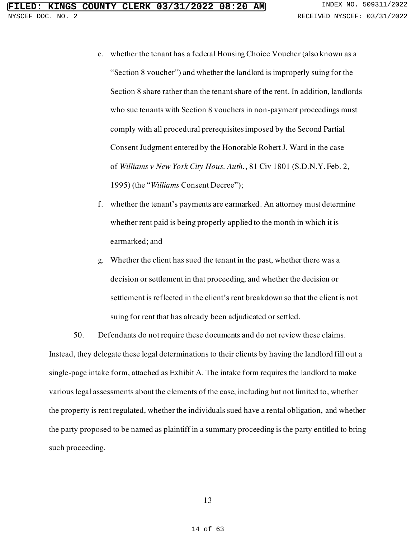- e. whether the tenant has a federal Housing Choice Voucher (also known as a "Section 8 voucher") and whether the landlord is improperly suing for the Section 8 share rather than the tenant share of the rent. In addition, landlords who sue tenants with Section 8 vouchers in non-payment proceedings must comply with all procedural prerequisites imposed by the Second Partial Consent Judgment entered by the Honorable Robert J. Ward in the case of *Williams v New York City Hous. Auth.*, 81 Civ 1801 (S.D.N.Y. Feb. 2, 1995) (the "*Williams* Consent Decree");
- f. whether the tenant's payments are earmarked. An attorney must determine whether rent paid is being properly applied to the month in which it is earmarked; and
- g. Whether the client has sued the tenant in the past, whether there was a decision or settlement in that proceeding, and whether the decision or settlement is reflected in the client's rent breakdown so that the client is not suing for rent that has already been adjudicated or settled.

50. Defendants do not require these documents and do not review these claims. Instead, they delegate these legal determinations to their clients by having the landlord fill out a single-page intake form, attached as Exhibit A. The intake form requires the landlord to make various legal assessments about the elements of the case, including but not limited to, whether the property is rent regulated, whether the individuals sued have a rental obligation, and whether the party proposed to be named as plaintiff in a summary proceeding is the party entitled to bring such proceeding.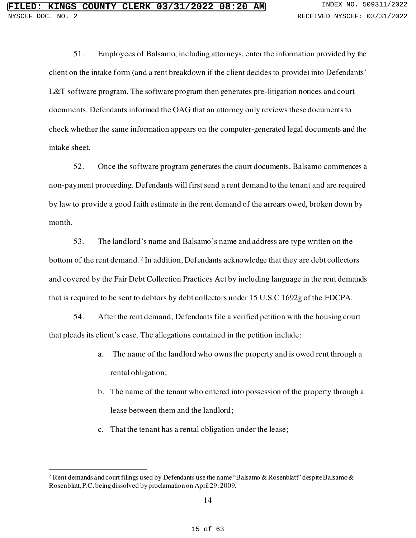51. Employees of Balsamo, including attorneys, enter the information provided by the client on the intake form (and a rent breakdown if the client decides to provide) into Defendants' L&T software program. The software program then generates pre-litigation notices and court documents. Defendants informed the OAG that an attorney only reviews these documents to check whether the same information appears on the computer-generated legal documents and the intake sheet.

52. Once the software program generates the court documents, Balsamo commences a non-payment proceeding. Defendants will first send a rent demand to the tenant and are required by law to provide a good faith estimate in the rent demand of the arrears owed, broken down by month.

53. The landlord's name and Balsamo's name and address are type written on the bottom of the rent demand.<sup>2</sup> In addition, Defendants acknowledge that they are debt collectors and covered by the Fair Debt Collection Practices Act by including language in the rent demands that is required to be sent to debtors by debt collectors under 15 U.S.C 1692g of the FDCPA.

54. After the rent demand, Defendants file a verified petition with the housing court that pleads its client's case. The allegations contained in the petition include:

- a. The name of the landlord who owns the property and is owed rent through a rental obligation;
- b. The name of the tenant who entered into possession of the property through a lease between them and the landlord;
- c. That the tenant has a rental obligation under the lease;

<sup>&</sup>lt;sup>2</sup> Rent demands and court filings used by Defendants use the name "Balsamo & Rosenblatt" despite Balsamo & Rosenblatt, P.C. being dissolved by proclamation on April 29, 2009.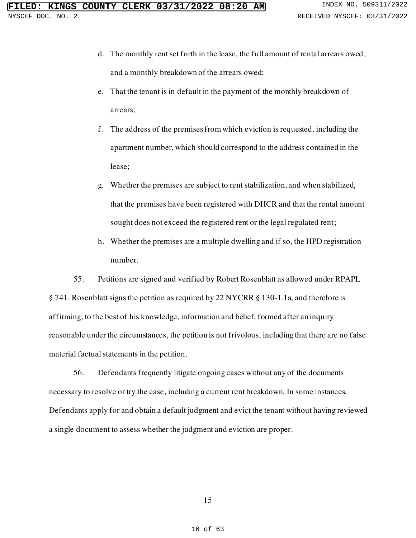- d. The monthly rent set forth in the lease, the full amount of rental arrears owed, and a monthly breakdown of the arrears owed;
- e. That the tenant is in default in the payment of the monthly breakdown of arrears;
- f. The address of the premises from which eviction is requested, including the apartment number, which should correspond to the address contained in the lease;
- g. Whether the premises are subject to rent stabilization, and when stabilized, that the premises have been registered with DHCR and that the rental amount sought does not exceed the registered rent or the legal regulated rent;
- h. Whether the premises are a multiple dwelling and if so, the HPD registration number.

55. Petitions are signed and verified by Robert Rosenblatt as allowed under RPAPL § 741. Rosenblatt signs the petition as required by 22 NYCRR § 130-1.1a, and therefore is affirming, to the best of his knowledge, information and belief, formed after an inquiry

reasonable under the circumstances, the petition is not frivolous, including that there are no false material factual statements in the petition.

56. Defendants frequently litigate ongoing cases without any of the documents necessary to resolve or try the case, including a current rent breakdown. In some instances, Defendants apply for and obtain a default judgment and evict the tenant without having reviewed a single document to assess whether the judgment and eviction are proper.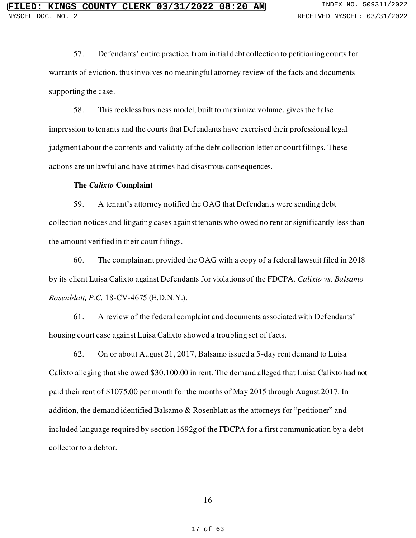57. Defendants' entire practice, from initial debt collection to petitioning courts for warrants of eviction, thus involves no meaningful attorney review of the facts and documents supporting the case.

58. This reckless business model, built to maximize volume, gives the false impression to tenants and the courts that Defendants have exercised their professional legal judgment about the contents and validity of the debt collection letter or court filings. These actions are unlawful and have at times had disastrous consequences.

#### **The** *Calixto* **Complaint**

59. A tenant's attorney notified the OAG that Defendants were sending debt collection notices and litigating cases against tenants who owed no rent or significantly less than the amount verified in their court filings.

60. The complainant provided the OAG with a copy of a federal lawsuit filed in 2018 by its client Luisa Calixto against Defendants for violations of the FDCPA*. Calixto vs. Balsamo Rosenblatt, P.C.* 18-CV-4675 (E.D.N.Y.).

61. A review of the federal complaint and documents associated with Defendants' housing court case against Luisa Calixto showed a troubling set of facts.

62. On or about August 21, 2017, Balsamo issued a 5-day rent demand to Luisa Calixto alleging that she owed \$30,100.00 in rent. The demand alleged that Luisa Calixto had not paid their rent of \$1075.00 per month for the months of May 2015 through August 2017. In addition, the demand identified Balsamo & Rosenblatt as the attorneys for "petitioner" and included language required by section 1692g of the FDCPA for a first communication by a debt collector to a debtor.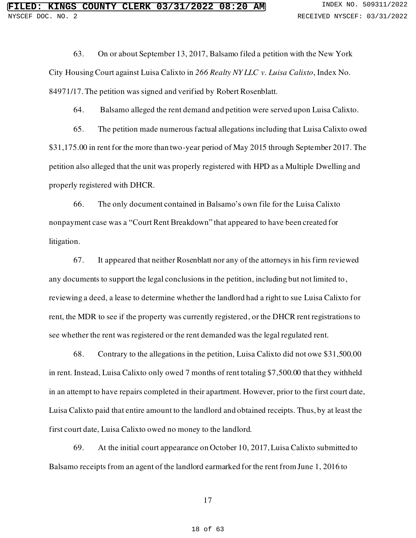63. On or about September 13, 2017, Balsamo filed a petition with the New York City Housing Court against Luisa Calixto in *266 Realty NY LLC v. Luisa Calixto*, Index No. 84971/17. The petition was signed and verified by Robert Rosenblatt.

64. Balsamo alleged the rent demand and petition were served upon Luisa Calixto.

65. The petition made numerous factual allegations including that Luisa Calixto owed \$31,175.00 in rent for the more than two-year period of May 2015 through September 2017. The petition also alleged that the unit was properly registered with HPD as a Multiple Dwelling and properly registered with DHCR.

66. The only document contained in Balsamo's own file for the Luisa Calixto nonpayment case was a "Court Rent Breakdown" that appeared to have been created for litigation.

67. It appeared that neither Rosenblatt nor any of the attorneys in his firm reviewed any documents to support the legal conclusions in the petition, including but not limited to, reviewing a deed, a lease to determine whether the landlord had a right to sue Luisa Calixto for rent, the MDR to see if the property was currently registered, or the DHCR rent registrations to see whether the rent was registered or the rent demanded was the legal regulated rent.

68. Contrary to the allegations in the petition, Luisa Calixto did not owe \$31,500.00 in rent. Instead, Luisa Calixto only owed 7 months of rent totaling \$7,500.00 that they withheld in an attempt to have repairs completed in their apartment. However, prior to the first court date, Luisa Calixto paid that entire amount to the landlord and obtained receipts. Thus, by at least the first court date, Luisa Calixto owed no money to the landlord.

69. At the initial court appearance on October 10, 2017, Luisa Calixto submitted to Balsamo receipts from an agent of the landlord earmarked for the rent from June 1, 2016 to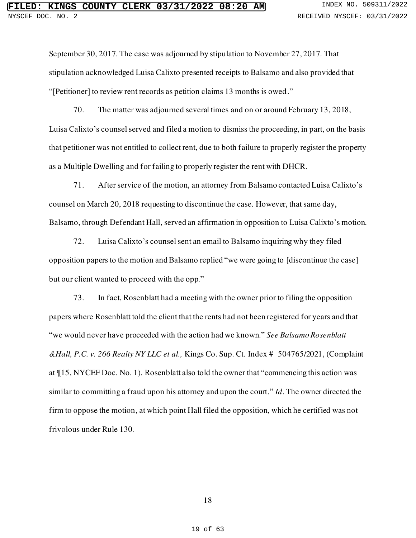September 30, 2017. The case was adjourned by stipulation to November 27, 2017. That stipulation acknowledged Luisa Calixto presented receipts to Balsamo and also provided that "[Petitioner] to review rent records as petition claims 13 months is owed."

70. The matter was adjourned several times and on or around February 13, 2018, Luisa Calixto's counsel served and filed a motion to dismiss the proceeding, in part, on the basis that petitioner was not entitled to collect rent, due to both failure to properly register the property as a Multiple Dwelling and for failing to properly register the rent with DHCR.

71. After service of the motion, an attorney from Balsamo contacted Luisa Calixto's counsel on March 20, 2018 requesting to discontinue the case. However, that same day, Balsamo, through Defendant Hall, served an affirmation in opposition to Luisa Calixto's motion.

72. Luisa Calixto's counsel sent an email to Balsamo inquiring why they filed opposition papers to the motion and Balsamo replied "we were going to [discontinue the case] but our client wanted to proceed with the opp."

73. In fact, Rosenblatt had a meeting with the owner prior to filing the opposition papers where Rosenblatt told the client that the rents had not been registered for years and that "we would never have proceeded with the action had we known." *See Balsamo Rosenblatt &Hall, P.C. v. 266 Realty NY LLC et al.,* Kings Co. Sup. Ct. Index # 504765/2021, (Complaint at ¶15, NYCEF Doc. No. 1). Rosenblatt also told the owner that "commencing this action was similar to committing a fraud upon his attorney and upon the court." *Id*. The owner directed the firm to oppose the motion, at which point Hall filed the opposition, which he certified was not frivolous under Rule 130.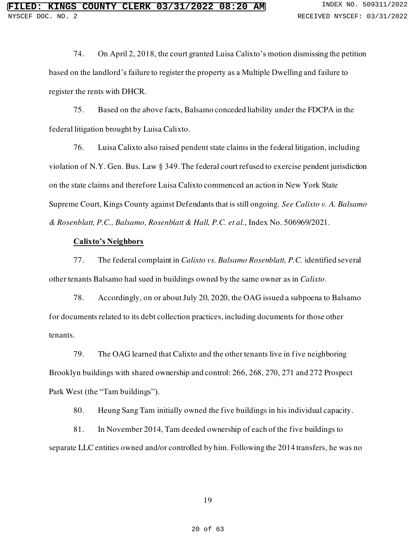74. On April 2, 2018, the court granted Luisa Calixto's motion dismissing the petition based on the landlord's failure to register the property as a Multiple Dwelling and failure to register the rents with DHCR.

75. Based on the above facts, Balsamo conceded liability under the FDCPA in the federal litigation brought by Luisa Calixto.

76. Luisa Calixto also raised pendent state claims in the federal litigation, including violation of N.Y. Gen. Bus. Law § 349. The federal court refused to exercise pendent jurisdiction on the state claims and therefore Luisa Calixto commenced an action in New York State Supreme Court, Kings County against Defendants that is still ongoing. *See Calixto v. A. Balsamo & Rosenblatt, P.C., Balsamo, Rosenblatt & Hall, P.C. et al.*, Index No. 506969/2021.

## **Calixto's Neighbors**

77. The federal complaint in *Calixto vs. Balsamo Rosenblatt, P.C.* identified several other tenants Balsamo had sued in buildings owned by the same owner as in *Calixto*.

78. Accordingly, on or about July 20, 2020, the OAG issued a subpoena to Balsamo for documents related to its debt collection practices, including documents for those other tenants.

79. The OAG learned that Calixto and the other tenants live in five neighboring Brooklyn buildings with shared ownership and control: 266, 268, 270, 271 and 272 Prospect Park West (the "Tam buildings").

80. Heung Sang Tam initially owned the five buildings in his individual capacity.

81. In November 2014, Tam deeded ownership of each of the five buildings to separate LLC entities owned and/or controlled by him. Following the 2014 transfers, he was no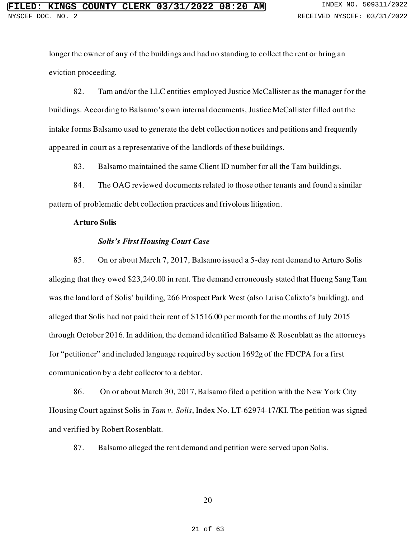longer the owner of any of the buildings and had no standing to collect the rent or bring an eviction proceeding.

82. Tam and/or the LLC entities employed Justice McCallister as the manager for the buildings. According to Balsamo's own internal documents, Justice McCallister filled out the intake forms Balsamo used to generate the debt collection notices and petitions and frequently appeared in court as a representative of the landlords of these buildings.

83. Balsamo maintained the same Client ID number for all the Tam buildings.

84. The OAG reviewed documents related to those other tenants and found a similar pattern of problematic debt collection practices and frivolous litigation.

#### **Arturo Solis**

#### *Solis's First Housing Court Case*

85. On or about March 7, 2017, Balsamo issued a 5-day rent demand to Arturo Solis alleging that they owed \$23,240.00 in rent. The demand erroneously stated that Hueng Sang Tam was the landlord of Solis' building, 266 Prospect Park West (also Luisa Calixto's building), and alleged that Solis had not paid their rent of \$1516.00 per month for the months of July 2015 through October 2016. In addition, the demand identified Balsamo & Rosenblatt as the attorneys for "petitioner" and included language required by section 1692g of the FDCPA for a first communication by a debt collector to a debtor.

86. On or about March 30, 2017, Balsamo filed a petition with the New York City Housing Court against Solis in *Tam v. Solis*, Index No. LT-62974-17/KI. The petition was signed and verified by Robert Rosenblatt.

87. Balsamo alleged the rent demand and petition were served upon Solis.

#### 20

#### 21 of 63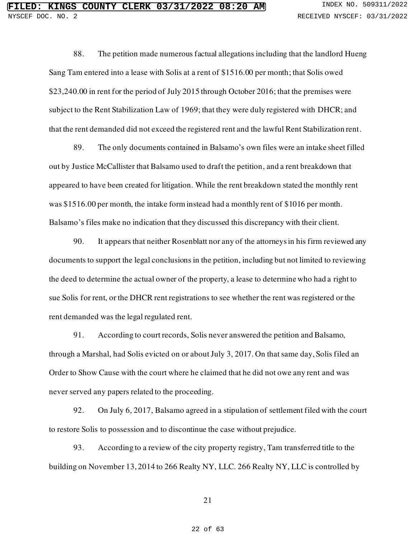88. The petition made numerous factual allegations including that the landlord Hueng Sang Tam entered into a lease with Solis at a rent of \$1516.00 per month; that Solis owed \$23,240.00 in rent for the period of July 2015 through October 2016; that the premises were subject to the Rent Stabilization Law of 1969; that they were duly registered with DHCR; and that the rent demanded did not exceed the registered rent and the lawful Rent Stabilization rent.

89. The only documents contained in Balsamo's own files were an intake sheet filled out by Justice McCallister that Balsamo used to draft the petition, and a rent breakdown that appeared to have been created for litigation. While the rent breakdown stated the monthly rent was \$1516.00 per month, the intake form instead had a monthly rent of \$1016 per month. Balsamo's files make no indication that they discussed this discrepancy with their client.

90. It appears that neither Rosenblatt nor any of the attorneys in his firm reviewed any documents to support the legal conclusions in the petition, including but not limited to reviewing the deed to determine the actual owner of the property, a lease to determine who had a right to sue Solis for rent, or the DHCR rent registrations to see whether the rent was registered or the rent demanded was the legal regulated rent.

91. According to court records, Solis never answered the petition and Balsamo, through a Marshal, had Solis evicted on or about July 3, 2017. On that same day, Solis filed an Order to Show Cause with the court where he claimed that he did not owe any rent and was never served any papers related to the proceeding.

92. On July 6, 2017, Balsamo agreed in a stipulation of settlement filed with the court to restore Solis to possession and to discontinue the case without prejudice.

93. According to a review of the city property registry, Tam transferred title to the building on November 13, 2014 to 266 Realty NY, LLC. 266 Realty NY, LLC is controlled by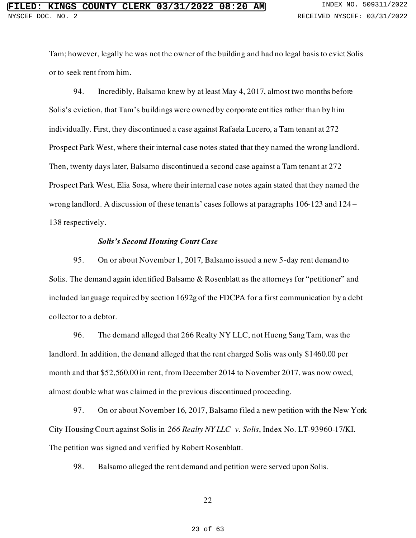Tam; however, legally he was not the owner of the building and had no legal basis to evict Solis or to seek rent from him.

94. Incredibly, Balsamo knew by at least May 4, 2017, almost two months before Solis's eviction, that Tam's buildings were owned by corporate entities rather than by him individually. First, they discontinued a case against Rafaela Lucero, a Tam tenant at 272 Prospect Park West, where their internal case notes stated that they named the wrong landlord. Then, twenty days later, Balsamo discontinued a second case against a Tam tenant at 272 Prospect Park West, Elia Sosa, where their internal case notes again stated that they named the wrong landlord. A discussion of these tenants' cases follows at paragraphs 106-123 and 124 – 138 respectively.

## *Solis's Second Housing Court Case*

95. On or about November 1, 2017, Balsamo issued a new 5-day rent demand to Solis. The demand again identified Balsamo & Rosenblatt as the attorneys for "petitioner" and included language required by section 1692g of the FDCPA for a first communication by a debt collector to a debtor.

96. The demand alleged that 266 Realty NY LLC, not Hueng Sang Tam, was the landlord. In addition, the demand alleged that the rent charged Solis was only \$1460.00 per month and that \$52,560.00 in rent, from December 2014 to November 2017, was now owed, almost double what was claimed in the previous discontinued proceeding.

97. On or about November 16, 2017, Balsamo filed a new petition with the New York City Housing Court against Solis in *266 Realty NY LLC v. Solis*, Index No. LT-93960-17/KI. The petition was signed and verified by Robert Rosenblatt.

98. Balsamo alleged the rent demand and petition were served upon Solis.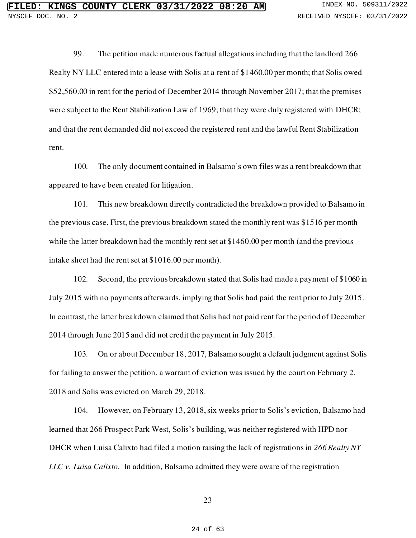99. The petition made numerous factual allegations including that the landlord 266 Realty NY LLC entered into a lease with Solis at a rent of \$1460.00 per month; that Solis owed \$52,560.00 in rent for the period of December 2014 through November 2017; that the premises were subject to the Rent Stabilization Law of 1969; that they were duly registered with DHCR; and that the rent demanded did not exceed the registered rent and the lawful Rent Stabilization rent.

100. The only document contained in Balsamo's own files was a rent breakdown that appeared to have been created for litigation.

101. This new breakdown directly contradicted the breakdown provided to Balsamo in the previous case. First, the previous breakdown stated the monthly rent was \$1516 per month while the latter breakdown had the monthly rent set at \$1460.00 per month (and the previous intake sheet had the rent set at \$1016.00 per month).

102. Second, the previous breakdown stated that Solis had made a payment of \$1060 in July 2015 with no payments afterwards, implying that Solis had paid the rent prior to July 2015. In contrast, the latter breakdown claimed that Solis had not paid rent for the period of December 2014 through June 2015 and did not credit the payment in July 2015.

103. On or about December 18, 2017, Balsamo sought a default judgment against Solis for failing to answer the petition, a warrant of eviction was issued by the court on February 2, 2018 and Solis was evicted on March 29, 2018.

104. However, on February 13, 2018, six weeks prior to Solis's eviction, Balsamo had learned that 266 Prospect Park West, Solis's building, was neither registered with HPD nor DHCR when Luisa Calixto had filed a motion raising the lack of registrations in *266 Realty NY LLC v. Luisa Calixto.* In addition, Balsamo admitted they were aware of the registration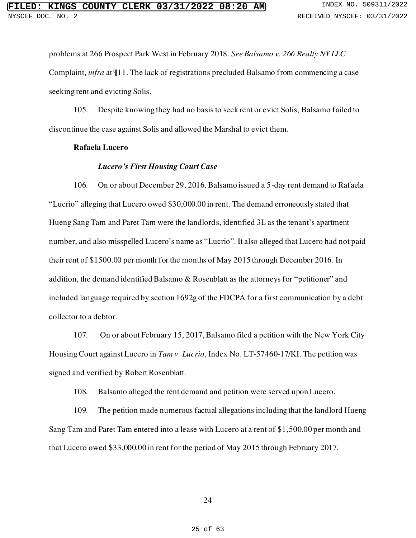problems at 266 Prospect Park West in February 2018. *See Balsamo v. 266 Realty NY LLC*  Complaint, *infra* at ¶11. The lack of registrations precluded Balsamo from commencing a case seeking rent and evicting Solis.

105. Despite knowing they had no basis to seek rent or evict Solis, Balsamo failed to discontinue the case against Solis and allowed the Marshal to evict them.

## **Rafaela Lucero**

## *Lucero's First Housing Court Case*

106. On or about December 29, 2016, Balsamo issued a 5-day rent demand to Rafaela "Lucrio" alleging that Lucero owed \$30,000.00 in rent. The demand erroneously stated that Hueng Sang Tam and Paret Tam were the landlords, identified 3L as the tenant's apartment number, and also misspelled Lucero's name as "Lucrio". It also alleged that Lucero had not paid their rent of \$1500.00 per month for the months of May 2015 through December 2016. In addition, the demand identified Balsamo & Rosenblatt as the attorneys for "petitioner" and included language required by section 1692g of the FDCPA for a first communication by a debt collector to a debtor.

107. On or about February 15, 2017, Balsamo filed a petition with the New York City Housing Court against Lucero in *Tam v. Lucrio*, Index No. LT-57460-17/KI. The petition was signed and verified by Robert Rosenblatt.

108. Balsamo alleged the rent demand and petition were served upon Lucero.

109. The petition made numerous factual allegations including that the landlord Hueng Sang Tam and Paret Tam entered into a lease with Lucero at a rent of \$1,500.00 per month and that Lucero owed \$33,000.00 in rent for the period of May 2015 through February 2017.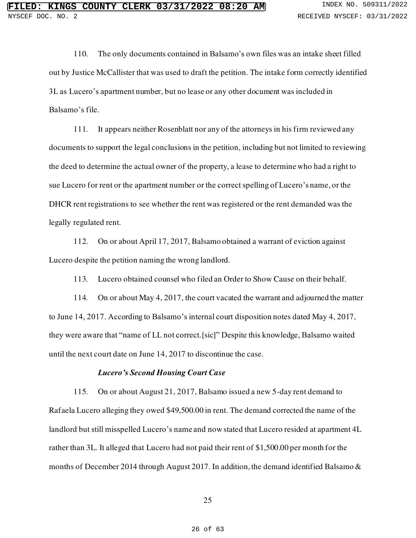110. The only documents contained in Balsamo's own files was an intake sheet filled out by Justice McCallister that was used to draft the petition. The intake form correctly identified 3L as Lucero's apartment number, but no lease or any other document was included in Balsamo's file.

111. It appears neither Rosenblatt nor any of the attorneys in his firm reviewed any documents to support the legal conclusions in the petition, including but not limited to reviewing the deed to determine the actual owner of the property, a lease to determine who had a right to sue Lucero for rent or the apartment number or the correct spelling of Lucero's name, or the DHCR rent registrations to see whether the rent was registered or the rent demanded was the legally regulated rent.

112. On or about April 17, 2017, Balsamo obtained a warrant of eviction against Lucero despite the petition naming the wrong landlord.

113. Lucero obtained counsel who filed an Order to Show Cause on their behalf.

114. On or about May 4, 2017, the court vacated the warrant and adjourned the matter to June 14, 2017. According to Balsamo's internal court disposition notes dated May 4, 2017, they were aware that "name of LL not correct.[sic]" Despite this knowledge, Balsamo waited until the next court date on June 14, 2017 to discontinue the case.

## *Lucero's Second Housing Court Case*

115. On or about August 21, 2017, Balsamo issued a new 5-day rent demand to Rafaela Lucero alleging they owed \$49,500.00 in rent. The demand corrected the name of the landlord but still misspelled Lucero's name and now stated that Lucero resided at apartment 4L rather than 3L. It alleged that Lucero had not paid their rent of \$1,500.00 per month for the months of December 2014 through August 2017. In addition, the demand identified Balsamo &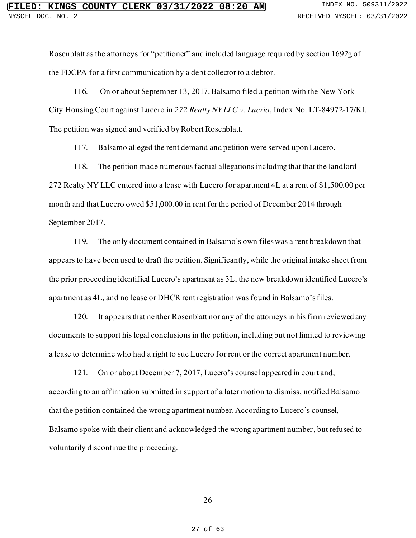Rosenblatt as the attorneys for "petitioner" and included language required by section 1692g of the FDCPA for a first communication by a debt collector to a debtor.

116. On or about September 13, 2017, Balsamo filed a petition with the New York City Housing Court against Lucero in *272 Realty NY LLC v. Lucrio*, Index No. LT-84972-17/KI. The petition was signed and verified by Robert Rosenblatt.

117. Balsamo alleged the rent demand and petition were served upon Lucero.

118. The petition made numerous factual allegations including that that the landlord 272 Realty NY LLC entered into a lease with Lucero for apartment 4L at a rent of \$1,500.00 per month and that Lucero owed \$51,000.00 in rent for the period of December 2014 through September 2017.

119. The only document contained in Balsamo's own files was a rent breakdown that appears to have been used to draft the petition. Significantly, while the original intake sheet from the prior proceeding identified Lucero's apartment as 3L, the new breakdown identified Lucero's apartment as 4L, and no lease or DHCR rent registration was found in Balsamo's files.

120. It appears that neither Rosenblatt nor any of the attorneys in his firm reviewed any documents to support his legal conclusions in the petition, including but not limited to reviewing a lease to determine who had a right to sue Lucero for rent or the correct apartment number.

121. On or about December 7, 2017, Lucero's counsel appeared in court and, according to an affirmation submitted in support of a later motion to dismiss, notified Balsamo that the petition contained the wrong apartment number. According to Lucero's counsel, Balsamo spoke with their client and acknowledged the wrong apartment number, but refused to voluntarily discontinue the proceeding.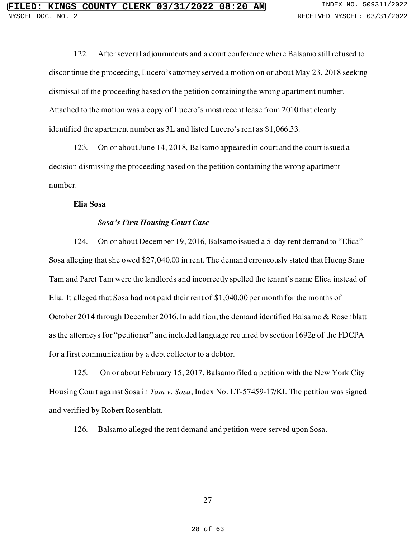122. After several adjournments and a court conference where Balsamo still refused to discontinue the proceeding, Lucero's attorney served a motion on or about May 23, 2018 seeking dismissal of the proceeding based on the petition containing the wrong apartment number. Attached to the motion was a copy of Lucero's most recent lease from 2010 that clearly identified the apartment number as 3L and listed Lucero's rent as \$1,066.33.

123. On or about June 14, 2018, Balsamo appeared in court and the court issued a decision dismissing the proceeding based on the petition containing the wrong apartment number.

### **Elia Sosa**

## *Sosa's First Housing Court Case*

124. On or about December 19, 2016, Balsamo issued a 5-day rent demand to "Elica" Sosa alleging that she owed \$27,040.00 in rent. The demand erroneously stated that Hueng Sang Tam and Paret Tam were the landlords and incorrectly spelled the tenant's name Elica instead of Elia. It alleged that Sosa had not paid their rent of \$1,040.00 per month for the months of October 2014 through December 2016. In addition, the demand identified Balsamo & Rosenblatt as the attorneys for "petitioner" and included language required by section 1692g of the FDCPA for a first communication by a debt collector to a debtor.

125. On or about February 15, 2017, Balsamo filed a petition with the New York City Housing Court against Sosa in *Tam v. Sosa*, Index No. LT-57459-17/KI. The petition was signed and verified by Robert Rosenblatt.

126. Balsamo alleged the rent demand and petition were served upon Sosa.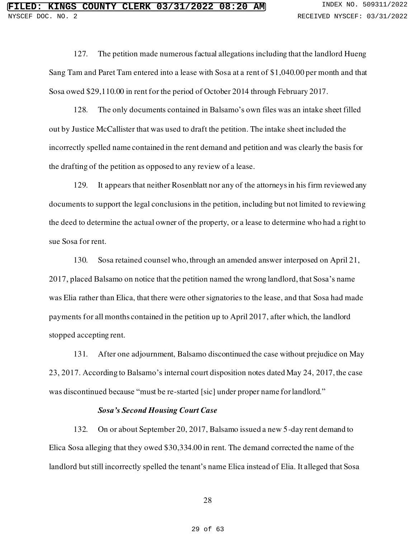127. The petition made numerous factual allegations including that the landlord Hueng Sang Tam and Paret Tam entered into a lease with Sosa at a rent of \$1,040.00 per month and that Sosa owed \$29,110.00 in rent for the period of October 2014 through February 2017.

128. The only documents contained in Balsamo's own files was an intake sheet filled out by Justice McCallister that was used to draft the petition. The intake sheet included the incorrectly spelled name contained in the rent demand and petition and was clearly the basis for the drafting of the petition as opposed to any review of a lease.

129. It appears that neither Rosenblatt nor any of the attorneys in his firm reviewed any documents to support the legal conclusions in the petition, including but not limited to reviewing the deed to determine the actual owner of the property, or a lease to determine who had a right to sue Sosa for rent.

130. Sosa retained counsel who, through an amended answer interposed on April 21, 2017, placed Balsamo on notice that the petition named the wrong landlord, that Sosa's name was Elia rather than Elica, that there were other signatories to the lease, and that Sosa had made payments for all months contained in the petition up to April 2017, after which, the landlord stopped accepting rent.

131. After one adjournment, Balsamo discontinued the case without prejudice on May 23, 2017. According to Balsamo's internal court disposition notes dated May 24, 2017, the case was discontinued because "must be re-started [sic] under proper name for landlord."

## *Sosa's Second Housing Court Case*

132. On or about September 20, 2017, Balsamo issued a new 5-day rent demand to Elica Sosa alleging that they owed \$30,334.00 in rent. The demand corrected the name of the landlord but still incorrectly spelled the tenant's name Elica instead of Elia. It alleged that Sosa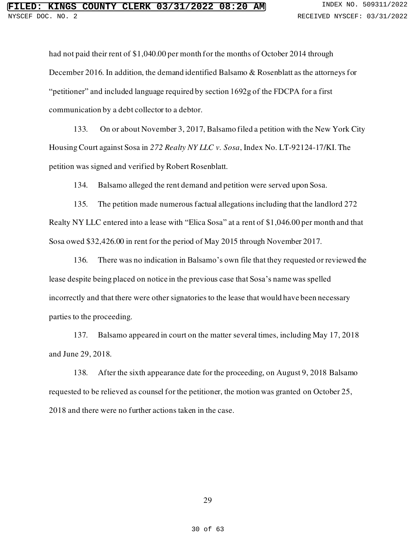had not paid their rent of \$1,040.00 per month for the months of October 2014 through December 2016. In addition, the demand identified Balsamo & Rosenblatt as the attorneys for "petitioner" and included language required by section 1692g of the FDCPA for a first communication by a debt collector to a debtor.

133. On or about November 3, 2017, Balsamo filed a petition with the New York City Housing Court against Sosa in *272 Realty NY LLC v. Sosa*, Index No. LT-92124-17/KI. The petition was signed and verified by Robert Rosenblatt.

134. Balsamo alleged the rent demand and petition were served upon Sosa.

135. The petition made numerous factual allegations including that the landlord 272 Realty NY LLC entered into a lease with "Elica Sosa" at a rent of \$1,046.00 per month and that Sosa owed \$32,426.00 in rent for the period of May 2015 through November 2017.

136. There was no indication in Balsamo's own file that they requested or reviewed the lease despite being placed on notice in the previous case that Sosa's name was spelled incorrectly and that there were other signatories to the lease that would have been necessary parties to the proceeding.

137. Balsamo appeared in court on the matter several times, including May 17, 2018 and June 29, 2018.

138. After the sixth appearance date for the proceeding, on August 9, 2018 Balsamo requested to be relieved as counsel for the petitioner, the motion was granted on October 25, 2018 and there were no further actions taken in the case.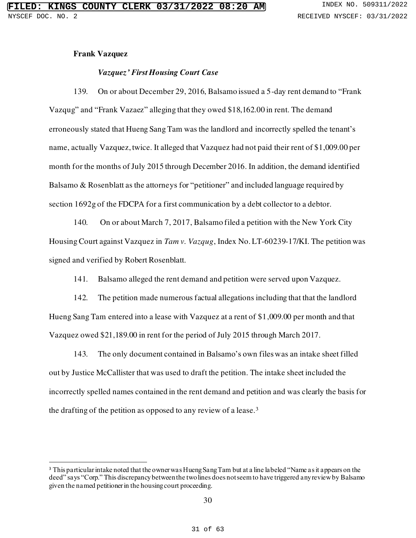### **Frank Vazquez**

### *Vazquez' First Housing Court Case*

139. On or about December 29, 2016, Balsamo issued a 5-day rent demand to "Frank Vazqug" and "Frank Vazaez" alleging that they owed \$18,162.00 in rent. The demand erroneously stated that Hueng Sang Tam was the landlord and incorrectly spelled the tenant's name, actually Vazquez, twice. It alleged that Vazquez had not paid their rent of \$1,009.00 per month for the months of July 2015 through December 2016. In addition, the demand identified Balsamo & Rosenblatt as the attorneys for "petitioner" and included language required by section 1692g of the FDCPA for a first communication by a debt collector to a debtor.

140. On or about March 7, 2017, Balsamo filed a petition with the New York City Housing Court against Vazquez in *Tam v. Vazqug*, Index No. LT-60239-17/KI. The petition was signed and verified by Robert Rosenblatt.

141. Balsamo alleged the rent demand and petition were served upon Vazquez.

142. The petition made numerous factual allegations including that that the landlord Hueng Sang Tam entered into a lease with Vazquez at a rent of \$1,009.00 per month and that Vazquez owed \$21,189.00 in rent for the period of July 2015 through March 2017.

143. The only document contained in Balsamo's own files was an intake sheet filled out by Justice McCallister that was used to draft the petition. The intake sheet included the incorrectly spelled names contained in the rent demand and petition and was clearly the basis for the drafting of the petition as opposed to any review of a lease.<sup>3</sup>

<sup>&</sup>lt;sup>3</sup> This particular intake noted that the owner was Hueng Sang Tam but at a line labeled "Name as it appears on the deed" says "Corp." This discrepancy between the two lines does not seem to have triggered any review by Balsamo given the named petitioner in the housing court proceeding.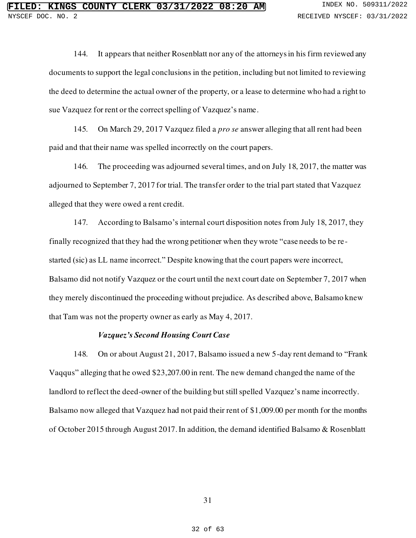144. It appears that neither Rosenblatt nor any of the attorneys in his firm reviewed any documents to support the legal conclusions in the petition, including but not limited to reviewing the deed to determine the actual owner of the property, or a lease to determine who had a right to sue Vazquez for rent or the correct spelling of Vazquez's name.

145. On March 29, 2017 Vazquez filed a *pro se* answer alleging that all rent had been paid and that their name was spelled incorrectly on the court papers.

146. The proceeding was adjourned several times, and on July 18, 2017, the matter was adjourned to September 7, 2017 for trial. The transfer order to the trial part stated that Vazquez alleged that they were owed a rent credit.

147. According to Balsamo's internal court disposition notes from July 18, 2017, they finally recognized that they had the wrong petitioner when they wrote "case needs to be re started (sic) as LL name incorrect." Despite knowing that the court papers were incorrect, Balsamo did not notify Vazquez or the court until the next court date on September 7, 2017 when they merely discontinued the proceeding without prejudice. As described above, Balsamo knew that Tam was not the property owner as early as May 4, 2017.

## *Vazquez's Second Housing Court Case*

148. On or about August 21, 2017, Balsamo issued a new 5-day rent demand to "Frank Vaqqus" alleging that he owed \$23,207.00 in rent. The new demand changed the name of the landlord to reflect the deed-owner of the building but still spelled Vazquez's name incorrectly. Balsamo now alleged that Vazquez had not paid their rent of \$1,009.00 per month for the months of October 2015 through August 2017. In addition, the demand identified Balsamo & Rosenblatt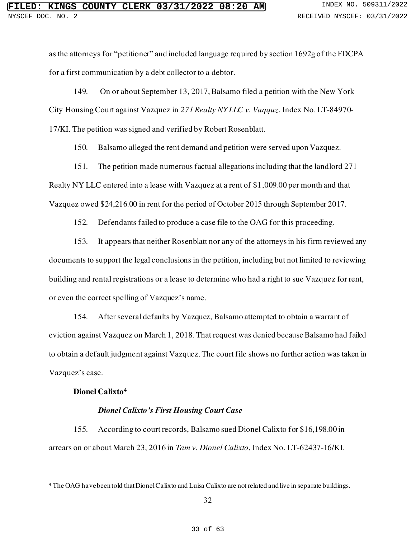as the attorneys for "petitioner" and included language required by section 1692g of the FDCPA for a first communication by a debt collector to a debtor.

149. On or about September 13, 2017, Balsamo filed a petition with the New York City Housing Court against Vazquez in *271 Realty NY LLC v. Vaqquz*, Index No. LT-84970- 17/KI. The petition was signed and verified by Robert Rosenblatt.

150. Balsamo alleged the rent demand and petition were served upon Vazquez.

151. The petition made numerous factual allegations including that the landlord 271 Realty NY LLC entered into a lease with Vazquez at a rent of \$1,009.00 per month and that Vazquez owed \$24,216.00 in rent for the period of October 2015 through September 2017.

152. Defendants failed to produce a case file to the OAG for this proceeding.

153. It appears that neither Rosenblatt nor any of the attorneys in his firm reviewed any documents to support the legal conclusions in the petition, including but not limited to reviewing building and rental registrations or a lease to determine who had a right to sue Vazquez for rent, or even the correct spelling of Vazquez's name.

154. After several defaults by Vazquez, Balsamo attempted to obtain a warrant of eviction against Vazquez on March 1, 2018. That request was denied because Balsamo had failed to obtain a default judgment against Vazquez. The court file shows no further action was taken in Vazquez's case.

## **Dionel Calixto<sup>4</sup>**

## *Dionel Calixto's First Housing Court Case*

155. According to court records, Balsamo sued Dionel Calixto for \$16,198.00 in arrears on or about March 23, 2016 in *Tam v. Dionel Calixto*, Index No. LT-62437-16/KI.

<sup>4</sup> The OAG have been told that Dionel Calixto and Luisa Calixto are not related and live in separate buildings.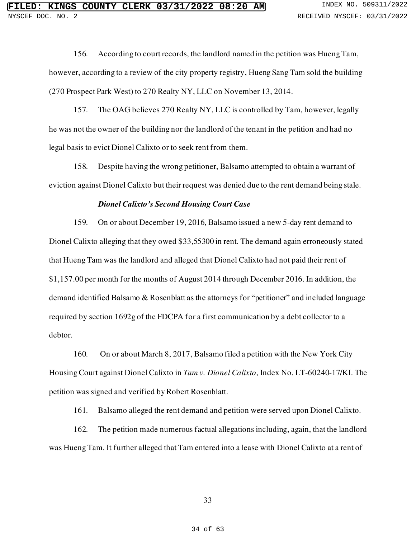156. According to court records, the landlord named in the petition was Hueng Tam, however, according to a review of the city property registry, Hueng Sang Tam sold the building (270 Prospect Park West) to 270 Realty NY, LLC on November 13, 2014.

157. The OAG believes 270 Realty NY, LLC is controlled by Tam, however, legally he was not the owner of the building nor the landlord of the tenant in the petition and had no legal basis to evict Dionel Calixto or to seek rent from them.

158. Despite having the wrong petitioner, Balsamo attempted to obtain a warrant of eviction against Dionel Calixto but their request was denied due to the rent demand being stale.

### *Dionel Calixto's Second Housing Court Case*

159. On or about December 19, 2016, Balsamo issued a new 5-day rent demand to Dionel Calixto alleging that they owed \$33,55300 in rent. The demand again erroneously stated that Hueng Tam was the landlord and alleged that Dionel Calixto had not paid their rent of \$1,157.00 per month for the months of August 2014 through December 2016. In addition, the demand identified Balsamo & Rosenblatt as the attorneys for "petitioner" and included language required by section 1692g of the FDCPA for a first communication by a debt collector to a debtor.

160. On or about March 8, 2017, Balsamo filed a petition with the New York City Housing Court against Dionel Calixto in *Tam v. Dionel Calixto*, Index No. LT-60240-17/KI. The petition was signed and verified by Robert Rosenblatt.

161. Balsamo alleged the rent demand and petition were served upon Dionel Calixto.

162. The petition made numerous factual allegations including, again, that the landlord was Hueng Tam. It further alleged that Tam entered into a lease with Dionel Calixto at a rent of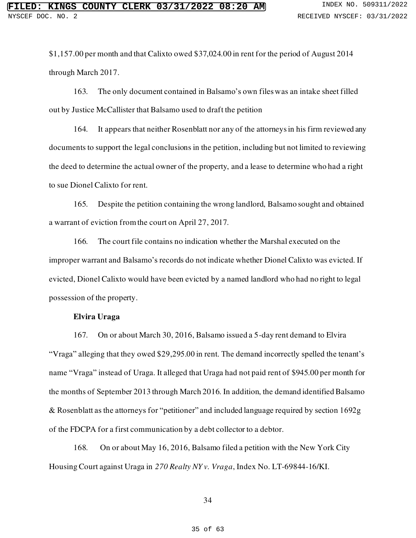\$1,157.00 per month and that Calixto owed \$37,024.00 in rent for the period of August 2014 through March 2017.

163. The only document contained in Balsamo's own files was an intake sheet filled out by Justice McCallister that Balsamo used to draft the petition

164. It appears that neither Rosenblatt nor any of the attorneys in his firm reviewed any documents to support the legal conclusions in the petition, including but not limited to reviewing the deed to determine the actual owner of the property, and a lease to determine who had a right to sue Dionel Calixto for rent.

165. Despite the petition containing the wrong landlord, Balsamo sought and obtained a warrant of eviction from the court on April 27, 2017.

166. The court file contains no indication whether the Marshal executed on the improper warrant and Balsamo's records do not indicate whether Dionel Calixto was evicted. If evicted, Dionel Calixto would have been evicted by a named landlord who had no right to legal possession of the property.

## **Elvira Uraga**

167. On or about March 30, 2016, Balsamo issued a 5-day rent demand to Elvira "Vraga" alleging that they owed \$29,295.00 in rent. The demand incorrectly spelled the tenant's name "Vraga" instead of Uraga. It alleged that Uraga had not paid rent of \$945.00 per month for the months of September 2013 through March 2016. In addition, the demand identified Balsamo & Rosenblatt as the attorneys for "petitioner" and included language required by section 1692g of the FDCPA for a first communication by a debt collector to a debtor.

168. On or about May 16, 2016, Balsamo filed a petition with the New York City Housing Court against Uraga in *270 Realty NY v. Vraga*, Index No. LT-69844-16/KI.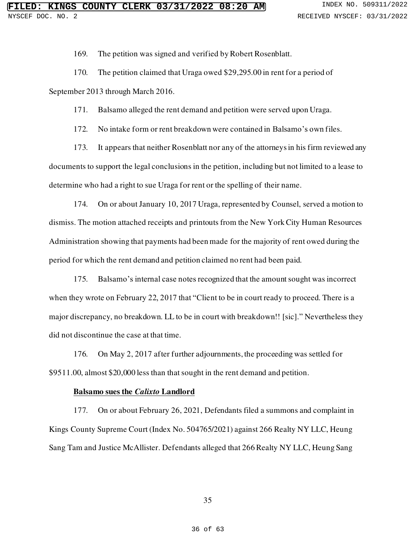169. The petition was signed and verified by Robert Rosenblatt.

170. The petition claimed that Uraga owed \$29,295.00 in rent for a period of

September 2013 through March 2016.

171. Balsamo alleged the rent demand and petition were served upon Uraga.

172. No intake form or rent breakdown were contained in Balsamo's own files.

173. It appears that neither Rosenblatt nor any of the attorneys in his firm reviewed any documents to support the legal conclusions in the petition, including but not limited to a lease to determine who had a right to sue Uraga for rent or the spelling of their name.

174. On or about January 10, 2017 Uraga, represented by Counsel, served a motion to dismiss. The motion attached receipts and printouts from the New York City Human Resources Administration showing that payments had been made for the majority of rent owed during the period for which the rent demand and petition claimed no rent had been paid.

175. Balsamo's internal case notes recognized that the amount sought was incorrect when they wrote on February 22, 2017 that "Client to be in court ready to proceed. There is a major discrepancy, no breakdown. LL to be in court with breakdown!! [sic]." Nevertheless they did not discontinue the case at that time.

176. On May 2, 2017 after further adjournments, the proceeding was settled for \$9511.00, almost \$20,000 less than that sought in the rent demand and petition.

### **Balsamo sues the** *Calixto* **Landlord**

177. On or about February 26, 2021, Defendants filed a summons and complaint in Kings County Supreme Court (Index No. 504765/2021) against 266 Realty NY LLC, Heung Sang Tam and Justice McAllister. Defendants alleged that 266 Realty NY LLC, Heung Sang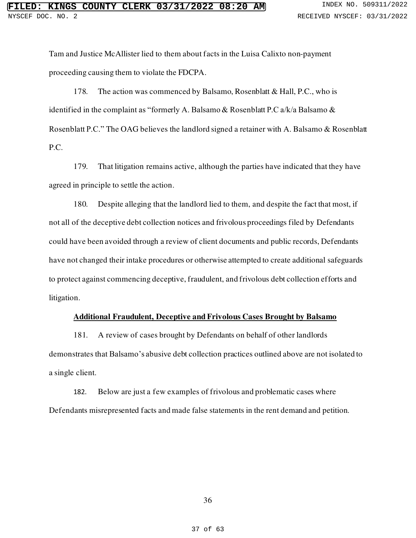Tam and Justice McAllister lied to them about facts in the Luisa Calixto non-payment proceeding causing them to violate the FDCPA.

178. The action was commenced by Balsamo, Rosenblatt & Hall, P.C., who is identified in the complaint as "formerly A. Balsamo & Rosenblatt P.C a/k/a Balsamo & Rosenblatt P.C." The OAG believes the landlord signed a retainer with A. Balsamo & Rosenblatt P.C.

179. That litigation remains active, although the parties have indicated that they have agreed in principle to settle the action.

180. Despite alleging that the landlord lied to them, and despite the fact that most, if not all of the deceptive debt collection notices and frivolous proceedings filed by Defendants could have been avoided through a review of client documents and public records, Defendants have not changed their intake procedures or otherwise attempted to create additional safeguards to protect against commencing deceptive, fraudulent, and frivolous debt collection efforts and litigation.

### **Additional Fraudulent, Deceptive and Frivolous Cases Brought by Balsamo**

181. A review of cases brought by Defendants on behalf of other landlords demonstrates that Balsamo's abusive debt collection practices outlined above are not isolated to a single client.

182. Below are just a few examples of frivolous and problematic cases where Defendants misrepresented facts and made false statements in the rent demand and petition.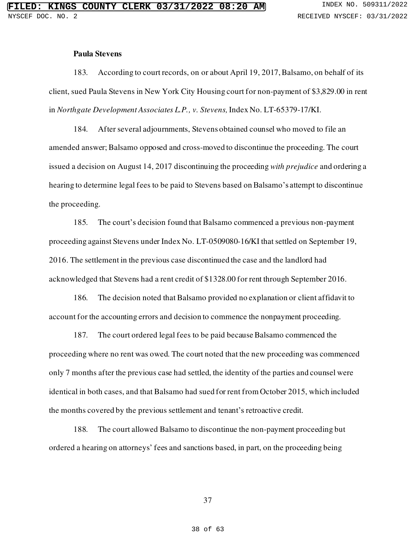## **Paula Stevens**

183. According to court records, on or about April 19, 2017, Balsamo, on behalf of its client, sued Paula Stevens in New York City Housing court for non-payment of \$3,829.00 in rent in *Northgate Development Associates L.P., v. Stevens,* Index No. LT-65379-17/KI.

184. After several adjournments, Stevens obtained counsel who moved to file an amended answer; Balsamo opposed and cross-moved to discontinue the proceeding. The court issued a decision on August 14, 2017 discontinuing the proceeding *with prejudice* and ordering a hearing to determine legal fees to be paid to Stevens based on Balsamo's attempt to discontinue the proceeding.

185. The court's decision found that Balsamo commenced a previous non-payment proceeding against Stevens under Index No. LT-0509080-16/KI that settled on September 19, 2016. The settlement in the previous case discontinued the case and the landlord had acknowledged that Stevens had a rent credit of \$1328.00 for rent through September 2016.

186. The decision noted that Balsamo provided no explanation or client affidavit to account for the accounting errors and decision to commence the nonpayment proceeding.

187. The court ordered legal fees to be paid because Balsamo commenced the proceeding where no rent was owed. The court noted that the new proceeding was commenced only 7 months after the previous case had settled, the identity of the parties and counsel were identical in both cases, and that Balsamo had sued for rent from October 2015, which included the months covered by the previous settlement and tenant's retroactive credit.

188. The court allowed Balsamo to discontinue the non-payment proceeding but ordered a hearing on attorneys' fees and sanctions based, in part, on the proceeding being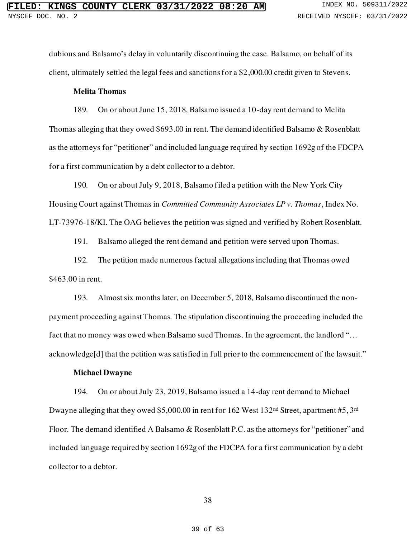dubious and Balsamo's delay in voluntarily discontinuing the case. Balsamo, on behalf of its client, ultimately settled the legal fees and sanctions for a \$2,000.00 credit given to Stevens.

## **Melita Thomas**

189. On or about June 15, 2018, Balsamo issued a 10-day rent demand to Melita Thomas alleging that they owed \$693.00 in rent. The demand identified Balsamo & Rosenblatt as the attorneys for "petitioner" and included language required by section 1692g of the FDCPA for a first communication by a debt collector to a debtor.

190. On or about July 9, 2018, Balsamo filed a petition with the New York City Housing Court against Thomas in *Committed Community Associates LP v. Thomas*, Index No. LT-73976-18/KI. The OAG believes the petition was signed and verified by Robert Rosenblatt.

191. Balsamo alleged the rent demand and petition were served upon Thomas.

192. The petition made numerous factual allegations including that Thomas owed \$463.00 in rent.

193. Almost six months later, on December 5, 2018, Balsamo discontinued the nonpayment proceeding against Thomas. The stipulation discontinuing the proceeding included the fact that no money was owed when Balsamo sued Thomas. In the agreement, the landlord "... acknowledge[d] that the petition was satisfied in full prior to the commencement of the lawsuit."

### **Michael Dwayne**

194. On or about July 23, 2019, Balsamo issued a 14-day rent demand to Michael Dwayne alleging that they owed \$5,000.00 in rent for 162 West 132<sup>nd</sup> Street, apartment #5,3<sup>rd</sup> Floor. The demand identified A Balsamo & Rosenblatt P.C. as the attorneys for "petitioner" and included language required by section 1692g of the FDCPA for a first communication by a debt collector to a debtor.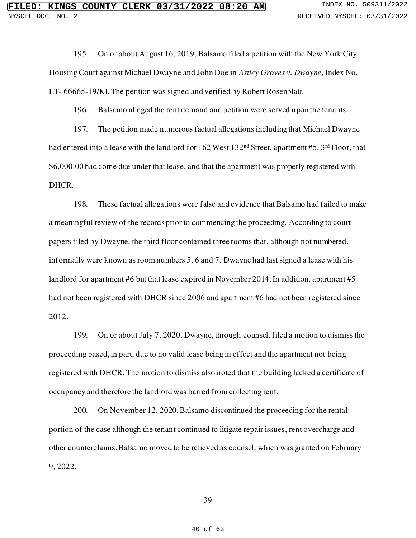195. On or about August 16, 2019, Balsamo filed a petition with the New York City Housing Court against Michael Dwayne and John Doe in *Astley Groves v. Dwayne*, Index No. LT- 66665-19/KI. The petition was signed and verified by Robert Rosenblatt.

196. Balsamo alleged the rent demand and petition were served upon the tenants.

197. The petition made numerous factual allegations including that Michael Dwayne had entered into a lease with the landlord for 162 West 132<sup>nd</sup> Street, apartment #5, 3<sup>rd</sup> Floor, that \$6,000.00 had come due under that lease, and that the apartment was properly registered with DHCR.

198. These factual allegations were false and evidence that Balsamo had failed to make a meaningful review of the records prior to commencing the proceeding. According to court papers filed by Dwayne, the third floor contained three rooms that, although not numbered, informally were known as room numbers 5, 6 and 7. Dwayne had last signed a lease with his landlord for apartment #6 but that lease expired in November 2014. In addition, apartment #5 had not been registered with DHCR since 2006 and apartment #6 had not been registered since 2012.

199. On or about July 7, 2020, Dwayne, through counsel, filed a motion to dismiss the proceeding based, in part, due to no valid lease being in effect and the apartment not being registered with DHCR. The motion to dismiss also noted that the building lacked a certificate of occupancy and therefore the landlord was barred from collecting rent.

200. On November 12, 2020, Balsamo discontinued the proceeding for the rental portion of the case although the tenant continued to litigate repair issues, rent overcharge and other counterclaims. Balsamo moved to be relieved as counsel, which was granted on February 9, 2022.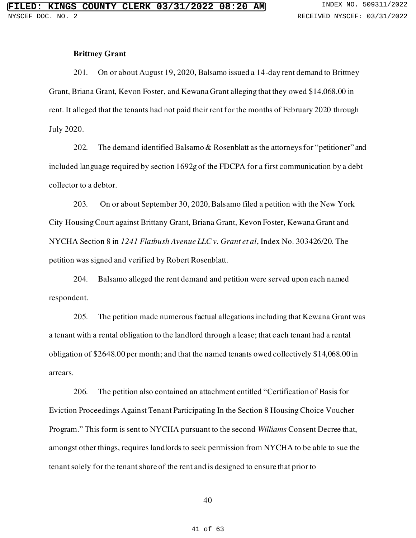## **Brittney Grant**

201. On or about August 19, 2020, Balsamo issued a 14-day rent demand to Brittney Grant, Briana Grant, Kevon Foster, and Kewana Grant alleging that they owed \$14,068.00 in rent. It alleged that the tenants had not paid their rent for the months of February 2020 through July 2020.

202. The demand identified Balsamo & Rosenblatt as the attorneys for "petitioner" and included language required by section 1692g of the FDCPA for a first communication by a debt collector to a debtor.

203. On or about September 30, 2020, Balsamo filed a petition with the New York City Housing Court against Brittany Grant, Briana Grant, Kevon Foster, Kewana Grant and NYCHA Section 8 in *1241 Flatbush Avenue LLC v. Grant et al*, Index No. 303426/20. The petition was signed and verified by Robert Rosenblatt.

204. Balsamo alleged the rent demand and petition were served upon each named respondent.

205. The petition made numerous factual allegations including that Kewana Grant was a tenant with a rental obligation to the landlord through a lease; that each tenant had a rental obligation of \$2648.00 per month; and that the named tenants owed collectively \$14,068.00 in arrears.

206. The petition also contained an attachment entitled "Certification of Basis for Eviction Proceedings Against Tenant Participating In the Section 8 Housing Choice Voucher Program." This form is sent to NYCHA pursuant to the second *Williams* Consent Decree that, amongst other things, requires landlords to seek permission from NYCHA to be able to sue the tenant solely for the tenant share of the rent and is designed to ensure that prior to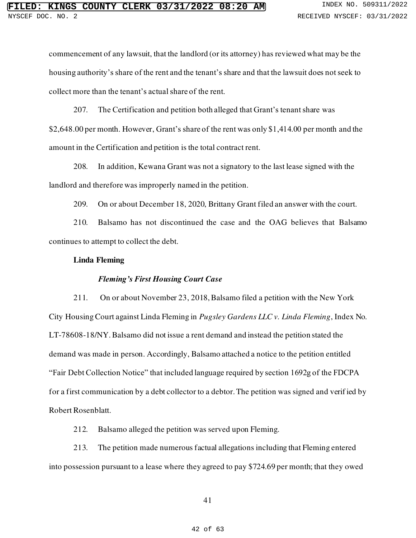commencement of any lawsuit, that the landlord (or its attorney) has reviewed what may be the housing authority's share of the rent and the tenant's share and that the lawsuit does not seek to collect more than the tenant's actual share of the rent.

207. The Certification and petition both alleged that Grant's tenant share was \$2,648.00 per month. However, Grant's share of the rent was only \$1,414.00 per month and the amount in the Certification and petition is the total contract rent.

208. In addition, Kewana Grant was not a signatory to the last lease signed with the landlord and therefore was improperly named in the petition.

209. On or about December 18, 2020, Brittany Grant filed an answer with the court.

210. Balsamo has not discontinued the case and the OAG believes that Balsamo continues to attempt to collect the debt.

### **Linda Fleming**

#### *Fleming's First Housing Court Case*

211. On or about November 23, 2018, Balsamo filed a petition with the New York City Housing Court against Linda Fleming in *Pugsley Gardens LLC v. Linda Fleming*, Index No. LT-78608-18/NY. Balsamo did not issue a rent demand and instead the petition stated the demand was made in person. Accordingly, Balsamo attached a notice to the petition entitled "Fair Debt Collection Notice" that included language required by section 1692g of the FDCPA for a first communication by a debt collector to a debtor. The petition was signed and verif ied by Robert Rosenblatt.

212. Balsamo alleged the petition was served upon Fleming.

213. The petition made numerous factual allegations including that Fleming entered into possession pursuant to a lease where they agreed to pay \$724.69 per month; that they owed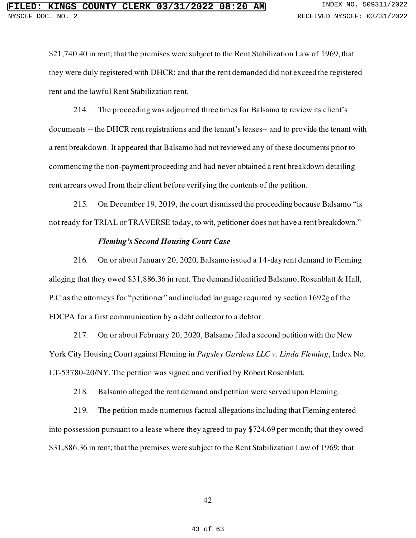\$21,740.40 in rent; that the premises were subject to the Rent Stabilization Law of 1969; that they were duly registered with DHCR; and that the rent demanded did not exceed the registered rent and the lawful Rent Stabilization rent.

214. The proceeding was adjourned three times for Balsamo to review its client's documents -- the DHCR rent registrations and the tenant's leases-- and to provide the tenant with a rent breakdown. It appeared that Balsamo had not reviewed any of these documents prior to commencing the non-payment proceeding and had never obtained a rent breakdown detailing rent arrears owed from their client before verifying the contents of the petition.

215. On December 19, 2019, the court dismissed the proceeding because Balsamo "is not ready for TRIAL or TRAVERSE today, to wit, petitioner does not have a rent breakdown."

## *Fleming's Second Housing Court Case*

216. On or about January 20, 2020, Balsamo issued a 14-day rent demand to Fleming alleging that they owed \$31,886.36 in rent. The demand identified Balsamo, Rosenblatt & Hall, P.C as the attorneys for "petitioner" and included language required by section 1692g of the FDCPA for a first communication by a debt collector to a debtor.

217. On or about February 20, 2020, Balsamo filed a second petition with the New York City Housing Court against Fleming in *Pugsley Gardens LLC v. Linda Fleming*, Index No. LT-53780-20/NY. The petition was signed and verified by Robert Rosenblatt.

218. Balsamo alleged the rent demand and petition were served upon Fleming.

219. The petition made numerous factual allegations including that Fleming entered into possession pursuant to a lease where they agreed to pay \$724.69 per month; that they owed \$31,886.36 in rent; that the premises were subject to the Rent Stabilization Law of 1969; that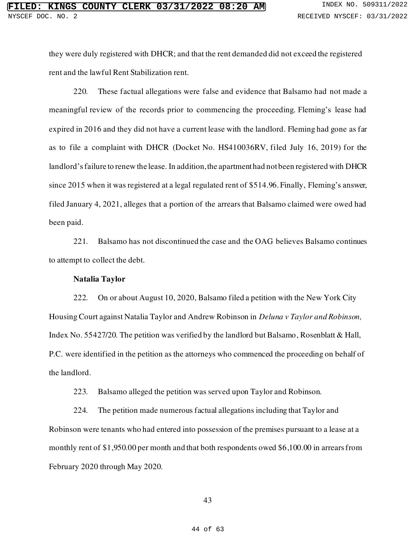they were duly registered with DHCR; and that the rent demanded did not exceed the registered rent and the lawful Rent Stabilization rent.

220. These factual allegations were false and evidence that Balsamo had not made a meaningful review of the records prior to commencing the proceeding. Fleming's lease had expired in 2016 and they did not have a current lease with the landlord. Fleming had gone as far as to file a complaint with DHCR (Docket No. HS410036RV, filed July 16, 2019) for the landlord's failure to renew the lease. In addition, the apartment had not been registered with DHCR since 2015 when it was registered at a legal regulated rent of \$514.96. Finally, Fleming's answer, filed January 4, 2021, alleges that a portion of the arrears that Balsamo claimed were owed had been paid.

221. Balsamo has not discontinued the case and the OAG believes Balsamo continues to attempt to collect the debt.

## **Natalia Taylor**

222. On or about August 10, 2020, Balsamo filed a petition with the New York City Housing Court against Natalia Taylor and Andrew Robinson in *Deluna v Taylor and Robinson,*  Index No. 55427/20. The petition was verified by the landlord but Balsamo, Rosenblatt & Hall, P.C. were identified in the petition as the attorneys who commenced the proceeding on behalf of the landlord.

223. Balsamo alleged the petition was served upon Taylor and Robinson.

224. The petition made numerous factual allegations including that Taylor and Robinson were tenants who had entered into possession of the premises pursuant to a lease at a monthly rent of \$1,950.00 per month and that both respondents owed \$6,100.00 in arrears from February 2020 through May 2020.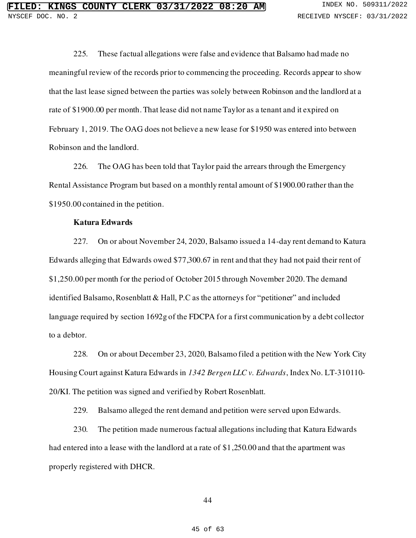225. These factual allegations were false and evidence that Balsamo had made no meaningful review of the records prior to commencing the proceeding. Records appear to show that the last lease signed between the parties was solely between Robinson and the landlord at a rate of \$1900.00 per month. That lease did not name Taylor as a tenant and it expired on February 1, 2019. The OAG does not believe a new lease for \$1950 was entered into between Robinson and the landlord.

226. The OAG has been told that Taylor paid the arrears through the Emergency Rental Assistance Program but based on a monthly rental amount of \$1900.00 rather than the \$1950.00 contained in the petition.

## **Katura Edwards**

227. On or about November 24, 2020, Balsamo issued a 14-day rent demand to Katura Edwards alleging that Edwards owed \$77,300.67 in rent and that they had not paid their rent of \$1,250.00 per month for the period of October 2015 through November 2020. The demand identified Balsamo, Rosenblatt & Hall, P.C as the attorneys for "petitioner" and included language required by section 1692g of the FDCPA for a first communication by a debt collector to a debtor.

228. On or about December 23, 2020, Balsamo filed a petition with the New York City Housing Court against Katura Edwards in *1342 Bergen LLC v. Edwards*, Index No. LT-310110- 20/KI. The petition was signed and verified by Robert Rosenblatt.

229. Balsamo alleged the rent demand and petition were served upon Edwards.

230. The petition made numerous factual allegations including that Katura Edwards had entered into a lease with the landlord at a rate of \$1,250.00 and that the apartment was properly registered with DHCR.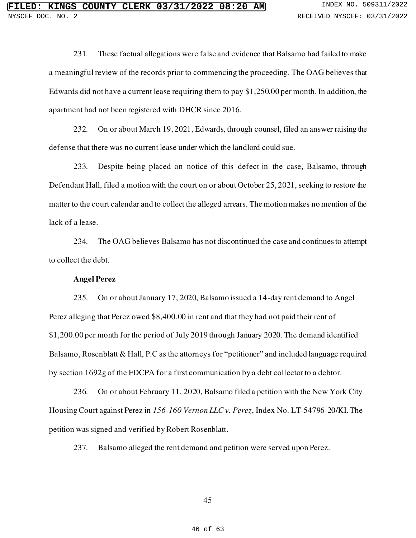231. These factual allegations were false and evidence that Balsamo had failed to make a meaningful review of the records prior to commencing the proceeding. The OAG believes that Edwards did not have a current lease requiring them to pay \$1,250.00 per month. In addition, the apartment had not been registered with DHCR since 2016.

232. On or about March 19, 2021, Edwards, through counsel, filed an answer raising the defense that there was no current lease under which the landlord could sue.

233. Despite being placed on notice of this defect in the case, Balsamo, through Defendant Hall, filed a motion with the court on or about October 25, 2021, seeking to restore the matter to the court calendar and to collect the alleged arrears. The motion makes no mention of the lack of a lease.

234. The OAG believes Balsamo has not discontinued the case and continues to attempt to collect the debt.

## **Angel Perez**

235. On or about January 17, 2020, Balsamo issued a 14-day rent demand to Angel Perez alleging that Perez owed \$8,400.00 in rent and that they had not paid their rent of \$1,200.00 per month for the period of July 2019 through January 2020. The demand identified Balsamo, Rosenblatt & Hall, P.C as the attorneys for "petitioner" and included language required by section 1692g of the FDCPA for a first communication by a debt collector to a debtor.

236. On or about February 11, 2020, Balsamo filed a petition with the New York City Housing Court against Perez in *156-160 Vernon LLC v. Perez*, Index No. LT-54796-20/KI. The petition was signed and verified by Robert Rosenblatt.

237. Balsamo alleged the rent demand and petition were served upon Perez.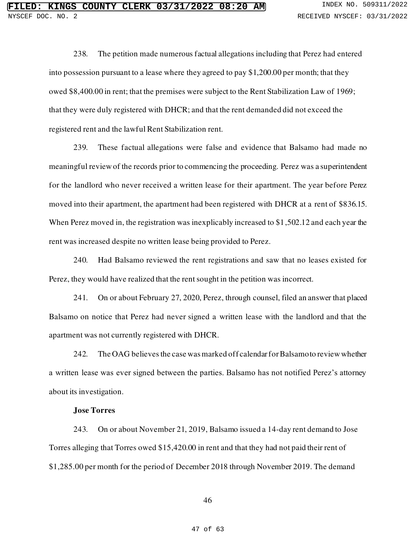238. The petition made numerous factual allegations including that Perez had entered into possession pursuant to a lease where they agreed to pay \$1,200.00 per month; that they owed \$8,400.00 in rent; that the premises were subject to the Rent Stabilization Law of 1969; that they were duly registered with DHCR; and that the rent demanded did not exceed the registered rent and the lawful Rent Stabilization rent.

239. These factual allegations were false and evidence that Balsamo had made no meaningful review of the records prior to commencing the proceeding. Perez was a superintendent for the landlord who never received a written lease for their apartment. The year before Perez moved into their apartment, the apartment had been registered with DHCR at a rent of \$836.15. When Perez moved in, the registration was inexplicably increased to \$1,502.12 and each year the rent was increased despite no written lease being provided to Perez.

240. Had Balsamo reviewed the rent registrations and saw that no leases existed for Perez, they would have realized that the rent sought in the petition was incorrect.

241. On or about February 27, 2020, Perez, through counsel, filed an answer that placed Balsamo on notice that Perez had never signed a written lease with the landlord and that the apartment was not currently registered with DHCR.

242. The OAG believes the case was marked off calendar for Balsamo to review whether a written lease was ever signed between the parties. Balsamo has not notified Perez's attorney about its investigation.

### **Jose Torres**

243. On or about November 21, 2019, Balsamo issued a 14-day rent demand to Jose Torres alleging that Torres owed \$15,420.00 in rent and that they had not paid their rent of \$1,285.00 per month for the period of December 2018 through November 2019. The demand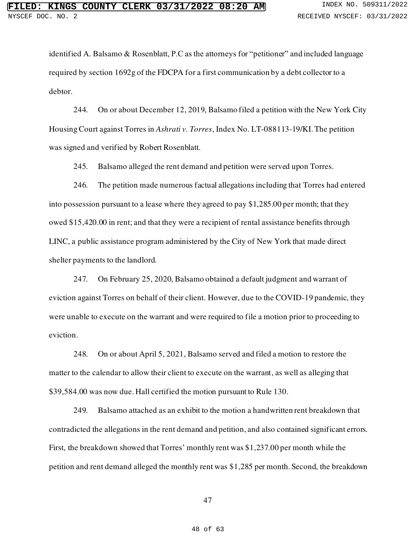identified A. Balsamo & Rosenblatt, P.C as the attorneys for "petitioner" and included language required by section 1692g of the FDCPA for a first communication by a debt collector to a debtor.

244. On or about December 12, 2019, Balsamo filed a petition with the New York City Housing Court against Torres in *Ashrati v. Torres*, Index No. LT-088113-19/KI. The petition was signed and verified by Robert Rosenblatt.

245. Balsamo alleged the rent demand and petition were served upon Torres.

246. The petition made numerous factual allegations including that Torres had entered into possession pursuant to a lease where they agreed to pay \$1,285.00 per month; that they owed \$15,420.00 in rent; and that they were a recipient of rental assistance benefits through LINC, a public assistance program administered by the City of New York that made direct shelter payments to the landlord.

247. On February 25, 2020, Balsamo obtained a default judgment and warrant of eviction against Torres on behalf of their client. However, due to the COVID-19 pandemic, they were unable to execute on the warrant and were required to file a motion prior to proceeding to eviction.

248. On or about April 5, 2021, Balsamo served and filed a motion to restore the matter to the calendar to allow their client to execute on the warrant, as well as alleging that \$39,584.00 was now due. Hall certified the motion pursuant to Rule 130.

249. Balsamo attached as an exhibit to the motion a handwritten rent breakdown that contradicted the allegations in the rent demand and petition, and also contained significant errors. First, the breakdown showed that Torres' monthly rent was \$1,237.00 per month while the petition and rent demand alleged the monthly rent was \$1,285 per month. Second, the breakdown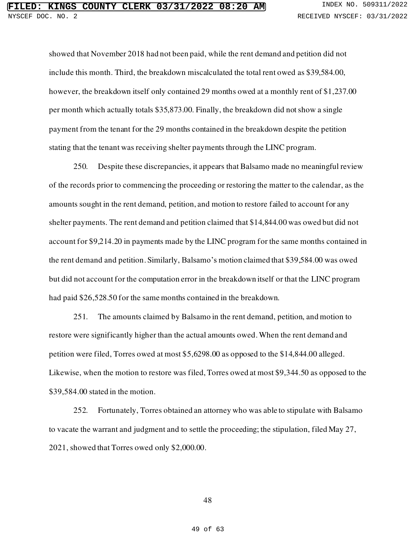showed that November 2018 had not been paid, while the rent demand and petition did not include this month. Third, the breakdown miscalculated the total rent owed as \$39,584.00, however, the breakdown itself only contained 29 months owed at a monthly rent of \$1,237.00 per month which actually totals \$35,873.00. Finally, the breakdown did not show a single payment from the tenant for the 29 months contained in the breakdown despite the petition stating that the tenant was receiving shelter payments through the LINC program.

250. Despite these discrepancies, it appears that Balsamo made no meaningful review of the records prior to commencing the proceeding or restoring the matter to the calendar, as the amounts sought in the rent demand, petition, and motion to restore failed to account for any shelter payments. The rent demand and petition claimed that \$14,844.00 was owed but did not account for \$9,214.20 in payments made by the LINC program for the same months contained in the rent demand and petition. Similarly, Balsamo's motion claimed that \$39,584.00 was owed but did not account for the computation error in the breakdown itself or that the LINC program had paid \$26,528.50 for the same months contained in the breakdown.

251. The amounts claimed by Balsamo in the rent demand, petition, and motion to restore were significantly higher than the actual amounts owed. When the rent demand and petition were filed, Torres owed at most \$5,6298.00 as opposed to the \$14,844.00 alleged. Likewise, when the motion to restore was filed, Torres owed at most \$9,344.50 as opposed to the \$39,584.00 stated in the motion.

252. Fortunately, Torres obtained an attorney who was able to stipulate with Balsamo to vacate the warrant and judgment and to settle the proceeding; the stipulation, filed May 27, 2021, showed that Torres owed only \$2,000.00.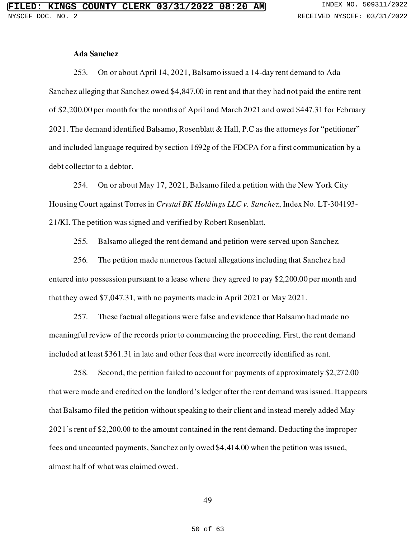### **Ada Sanchez**

253. On or about April 14, 2021, Balsamo issued a 14-day rent demand to Ada Sanchez alleging that Sanchez owed \$4,847.00 in rent and that they had not paid the entire rent of \$2,200.00 per month for the months of April and March 2021 and owed \$447.31 for February 2021. The demand identified Balsamo, Rosenblatt & Hall, P.C as the attorneys for "petitioner" and included language required by section 1692g of the FDCPA for a first communication by a debt collector to a debtor.

254. On or about May 17, 2021, Balsamo filed a petition with the New York City Housing Court against Torres in *Crystal BK Holdings LLC v. Sanchez*, Index No. LT-304193- 21/KI. The petition was signed and verified by Robert Rosenblatt.

255. Balsamo alleged the rent demand and petition were served upon Sanchez.

256. The petition made numerous factual allegations including that Sanchez had entered into possession pursuant to a lease where they agreed to pay \$2,200.00 per month and that they owed \$7,047.31, with no payments made in April 2021 or May 2021.

257. These factual allegations were false and evidence that Balsamo had made no meaningful review of the records prior to commencing the proceeding. First, the rent demand included at least \$361.31 in late and other fees that were incorrectly identified as rent.

258. Second, the petition failed to account for payments of approximately \$2,272.00 that were made and credited on the landlord's ledger after the rent demand was issued. It appears that Balsamo filed the petition without speaking to their client and instead merely added May 2021's rent of \$2,200.00 to the amount contained in the rent demand. Deducting the improper fees and uncounted payments, Sanchez only owed \$4,414.00 when the petition was issued, almost half of what was claimed owed.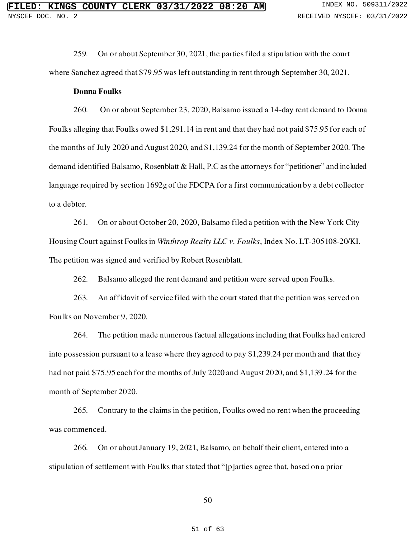259. On or about September 30, 2021, the parties filed a stipulation with the court where Sanchez agreed that \$79.95 was left outstanding in rent through September 30, 2021.

### **Donna Foulks**

260. On or about September 23, 2020, Balsamo issued a 14-day rent demand to Donna Foulks alleging that Foulks owed \$1,291.14 in rent and that they had not paid \$75.95 for each of the months of July 2020 and August 2020, and \$1,139.24 for the month of September 2020. The demand identified Balsamo, Rosenblatt & Hall, P.C as the attorneys for "petitioner" and included language required by section 1692g of the FDCPA for a first communication by a debt collector to a debtor.

261. On or about October 20, 2020, Balsamo filed a petition with the New York City Housing Court against Foulks in *Winthrop Realty LLC v. Foulks*, Index No. LT-305108-20/KI. The petition was signed and verified by Robert Rosenblatt.

262. Balsamo alleged the rent demand and petition were served upon Foulks.

263. An affidavit of service filed with the court stated that the petition was served on Foulks on November 9, 2020.

264. The petition made numerous factual allegations including that Foulks had entered into possession pursuant to a lease where they agreed to pay \$1,239.24 per month and that they had not paid \$75.95 each for the months of July 2020 and August 2020, and \$1,139.24 for the month of September 2020.

265. Contrary to the claims in the petition, Foulks owed no rent when the proceeding was commenced.

266. On or about January 19, 2021, Balsamo, on behalf their client, entered into a stipulation of settlement with Foulks that stated that "[p]arties agree that, based on a prior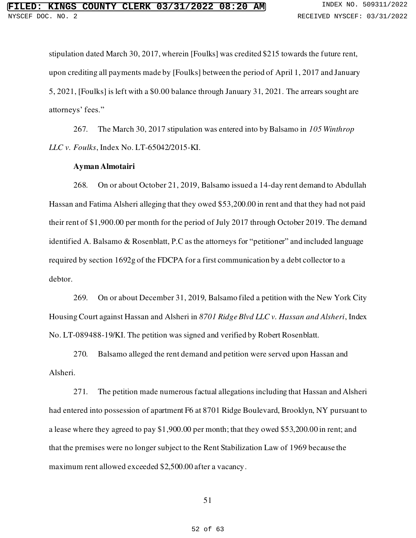stipulation dated March 30, 2017, wherein [Foulks] was credited \$215 towards the future rent, upon crediting all payments made by [Foulks] between the period of April 1, 2017 and January 5, 2021, [Foulks] is left with a \$0.00 balance through January 31, 2021. The arrears sought are attorneys' fees."

267. The March 30, 2017 stipulation was entered into by Balsamo in *105 Winthrop LLC v. Foulks*, Index No. LT-65042/2015-KI.

#### **Ayman Almotairi**

268. On or about October 21, 2019, Balsamo issued a 14-day rent demand to Abdullah Hassan and Fatima Alsheri alleging that they owed \$53,200.00 in rent and that they had not paid their rent of \$1,900.00 per month for the period of July 2017 through October 2019. The demand identified A. Balsamo & Rosenblatt, P.C as the attorneys for "petitioner" and included language required by section 1692g of the FDCPA for a first communication by a debt collector to a debtor.

269. On or about December 31, 2019, Balsamo filed a petition with the New York City Housing Court against Hassan and Alsheri in *8701 Ridge Blvd LLC v. Hassan and Alsheri*, Index No. LT-089488-19/KI. The petition was signed and verified by Robert Rosenblatt.

270. Balsamo alleged the rent demand and petition were served upon Hassan and Alsheri.

271. The petition made numerous factual allegations including that Hassan and Alsheri had entered into possession of apartment F6 at 8701 Ridge Boulevard, Brooklyn, NY pursuant to a lease where they agreed to pay \$1,900.00 per month; that they owed \$53,200.00 in rent; and that the premises were no longer subject to the Rent Stabilization Law of 1969 because the maximum rent allowed exceeded \$2,500.00 after a vacancy.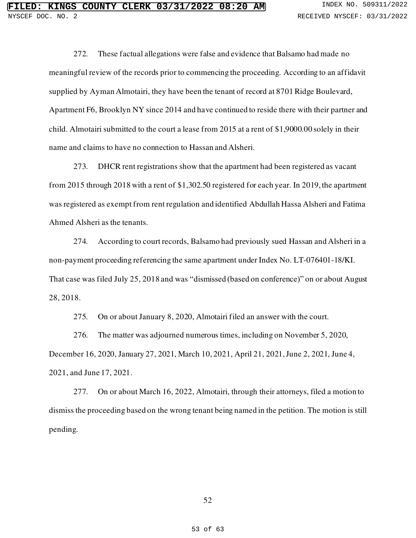272. These factual allegations were false and evidence that Balsamo had made no meaningful review of the records prior to commencing the proceeding. According to an affidavit supplied by Ayman Almotairi, they have been the tenant of record at 8701 Ridge Boulevard, Apartment F6, Brooklyn NY since 2014 and have continued to reside there with their partner and child. Almotairi submitted to the court a lease from 2015 at a rent of \$1,9000.00 solely in their name and claims to have no connection to Hassan and Alsheri.

273. DHCR rent registrations show that the apartment had been registered as vacant from 2015 through 2018 with a rent of \$1,302.50 registered for each year. In 2019, the apartment was registered as exempt from rent regulation and identified Abdullah Hassa Alsheri and Fatima Ahmed Alsheri as the tenants.

274. According to court records, Balsamo had previously sued Hassan and Alsheri in a non-payment proceeding referencing the same apartment under Index No. LT-076401-18/KI. That case was filed July 25, 2018 and was "dismissed (based on conference)" on or about August 28, 2018.

275. On or about January 8, 2020, Almotairi filed an answer with the court.

276. The matter was adjourned numerous times, including on November 5, 2020, December 16, 2020, January 27, 2021, March 10, 2021, April 21, 2021, June 2, 2021, June 4, 2021, and June 17, 2021.

277. On or about March 16, 2022, Almotairi, through their attorneys, filed a motion to dismiss the proceeding based on the wrong tenant being named in the petition. The motion is still pending.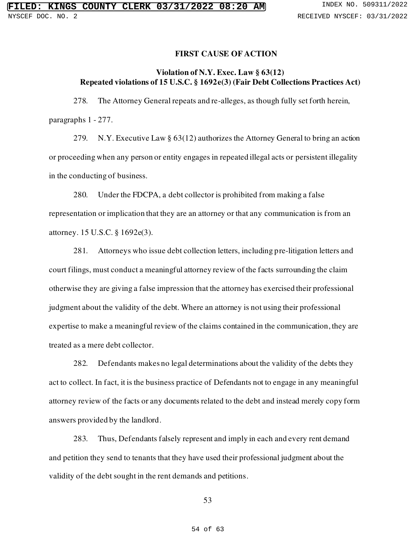### **FIRST CAUSE OF ACTION**

## **Violation of N.Y. Exec. Law § 63(12) Repeated violations of 15 U.S.C. § 1692e(3) (Fair Debt Collections Practices Act)**

278. The Attorney General repeats and re-alleges, as though fully set forth herein, paragraphs 1 - 277.

279. N.Y. Executive Law § 63(12) authorizes the Attorney General to bring an action or proceeding when any person or entity engages in repeated illegal acts or persistent illegality in the conducting of business.

280. Under the FDCPA, a debt collector is prohibited from making a false representation or implication that they are an attorney or that an[y communication](https://www.law.cornell.edu/definitions/uscode.php?width=840&height=800&iframe=true&def_id=15-USC-1035284522-644019129&term_occur=999&term_src=title:15:chapter:41:subchapter:V:section:1692e) is from an attorney. 15 U.S.C. § 1692e(3).

281. Attorneys who issue debt collection letters, including pre-litigation letters and court filings, must conduct a meaningful attorney review of the facts surrounding the claim otherwise they are giving a false impression that the attorney has exercised their professional judgment about the validity of the debt. Where an attorney is not using their professional expertise to make a meaningful review of the claims contained in the communication, they are treated as a mere debt collector.

282. Defendants makes no legal determinations about the validity of the debts they act to collect. In fact, it is the business practice of Defendants not to engage in any meaningful attorney review of the facts or any documents related to the debt and instead merely copy form answers provided by the landlord.

283. Thus, Defendants falsely represent and imply in each and every rent demand and petition they send to tenants that they have used their professional judgment about the validity of the debt sought in the rent demands and petitions.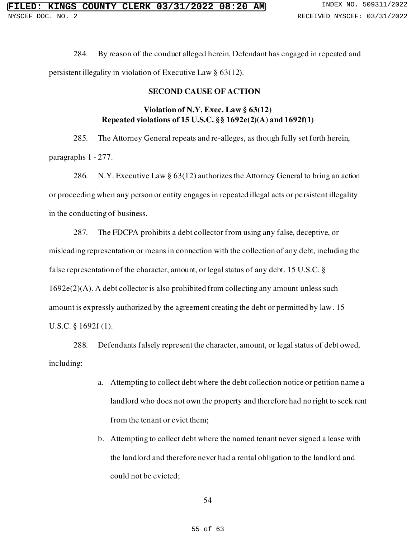284. By reason of the conduct alleged herein, Defendant has engaged in repeated and persistent illegality in violation of Executive Law § 63(12).

## **SECOND CAUSE OF ACTION**

## **Violation of N.Y. Exec. Law § 63(12) Repeated violations of 15 U.S.C. §§ 1692e(2)(A) and 1692f(1)**

285. The Attorney General repeats and re-alleges, as though fully set forth herein, paragraphs 1 - 277.

286. N.Y. Executive Law § 63(12) authorizes the Attorney General to bring an action or proceeding when any person or entity engages in repeated illegal acts or persistent illegality in the conducting of business.

287. The FDCPA prohibits a debt collector from using any false, deceptive, or misleading representation or means in connection with the collection of any debt, including the false representation of the character, amount, or legal status of any debt. 15 U.S.C. § 1692e(2)(A). A debt collector is also prohibited from collecting any amount unless such amount is expressly authorized by the agreement creating the debt or permitted by law. 15 U.S.C. § 1692f (1).

288. Defendants falsely represent the character, amount, or legal status of debt owed, including:

- a. Attempting to collect debt where the debt collection notice or petition name a landlord who does not own the property and therefore had no right to seek rent from the tenant or evict them;
- b. Attempting to collect debt where the named tenant never signed a lease with the landlord and therefore never had a rental obligation to the landlord and could not be evicted;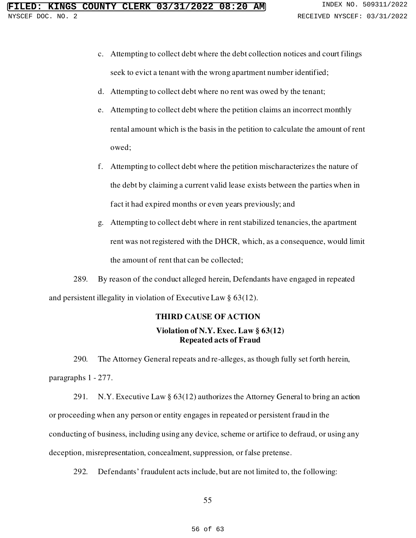- c. Attempting to collect debt where the debt collection notices and court filings seek to evict a tenant with the wrong apartment number identified;
- d. Attempting to collect debt where no rent was owed by the tenant;
- e. Attempting to collect debt where the petition claims an incorrect monthly rental amount which is the basis in the petition to calculate the amount of rent owed;
- f. Attempting to collect debt where the petition mischaracterizes the nature of the debt by claiming a current valid lease exists between the parties when in fact it had expired months or even years previously; and
- g. Attempting to collect debt where in rent stabilized tenancies, the apartment rent was not registered with the DHCR, which, as a consequence, would limit the amount of rent that can be collected;

289. By reason of the conduct alleged herein, Defendants have engaged in repeated and persistent illegality in violation of Executive Law § 63(12).

## **THIRD CAUSE OF ACTION**

## **Violation of N.Y. Exec. Law § 63(12) Repeated acts of Fraud**

290. The Attorney General repeats and re-alleges, as though fully set forth herein, paragraphs 1 - 277.

291. N.Y. Executive Law § 63(12) authorizes the Attorney General to bring an action or proceeding when any person or entity engages in repeated or persistent fraud in the conducting of business, including using any device, scheme or artifice to defraud, or using any deception, misrepresentation, concealment, suppression, or false pretense.

292. Defendants' fraudulent acts include, but are not limited to, the following: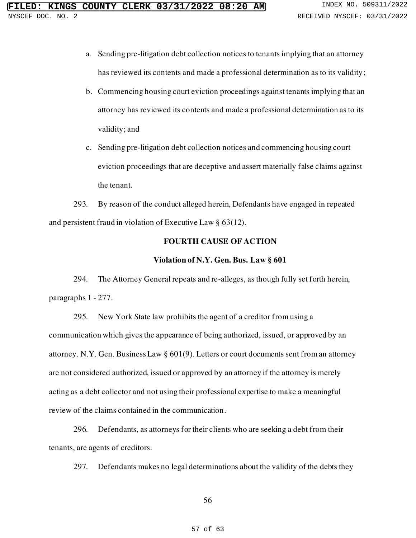- a. Sending pre-litigation debt collection notices to tenants implying that an attorney has reviewed its contents and made a professional determination as to its validity;
- b. Commencing housing court eviction proceedings against tenants implying that an attorney has reviewed its contents and made a professional determination as to its validity; and
- c. Sending pre-litigation debt collection notices and commencing housing court eviction proceedings that are deceptive and assert materially false claims against the tenant.

293. By reason of the conduct alleged herein, Defendants have engaged in repeated and persistent fraud in violation of Executive Law § 63(12).

## **FOURTH CAUSE OF ACTION**

### **Violation of N.Y. Gen. Bus. Law § 601**

294. The Attorney General repeats and re-alleges, as though fully set forth herein, paragraphs 1 - 277.

295. New York State law prohibits the agent of a creditor from using a communication which gives the appearance of being authorized, issued, or approved by an attorney. N.Y. Gen. Business Law § 601(9). Letters or court documents sent from an attorney are not considered authorized, issued or approved by an attorney if the attorney is merely acting as a debt collector and not using their professional expertise to make a meaningful review of the claims contained in the communication.

296. Defendants, as attorneys for their clients who are seeking a debt from their tenants, are agents of creditors.

297. Defendants makes no legal determinations about the validity of the debts they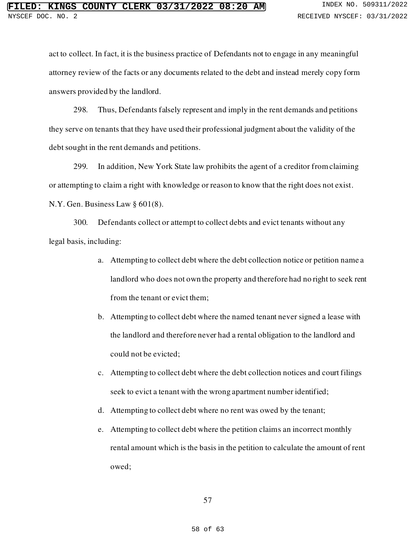act to collect. In fact, it is the business practice of Defendants not to engage in any meaningful attorney review of the facts or any documents related to the debt and instead merely copy form answers provided by the landlord.

298. Thus, Defendants falsely represent and imply in the rent demands and petitions they serve on tenants that they have used their professional judgment about the validity of the debt sought in the rent demands and petitions.

299. In addition, New York State law prohibits the agent of a creditor from claiming or attempting to claim a right with knowledge or reason to know that the right does not exist. N.Y. Gen. Business Law § 601(8).

300. Defendants collect or attempt to collect debts and evict tenants without any legal basis, including:

- a. Attempting to collect debt where the debt collection notice or petition name a landlord who does not own the property and therefore had no right to seek rent from the tenant or evict them;
- b. Attempting to collect debt where the named tenant never signed a lease with the landlord and therefore never had a rental obligation to the landlord and could not be evicted;
- c. Attempting to collect debt where the debt collection notices and court filings seek to evict a tenant with the wrong apartment number identified;
- d. Attempting to collect debt where no rent was owed by the tenant;
- e. Attempting to collect debt where the petition claims an incorrect monthly rental amount which is the basis in the petition to calculate the amount of rent owed;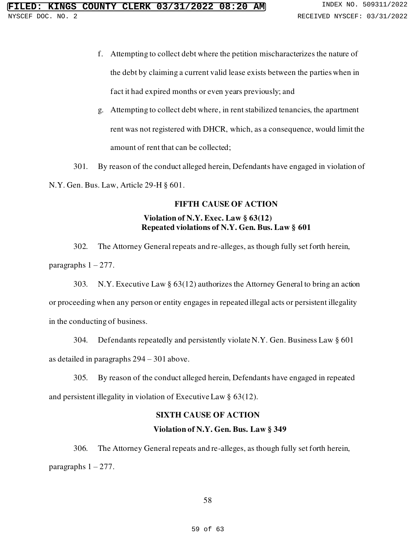- f. Attempting to collect debt where the petition mischaracterizes the nature of the debt by claiming a current valid lease exists between the parties when in fact it had expired months or even years previously; and
- g. Attempting to collect debt where, in rent stabilized tenancies, the apartment rent was not registered with DHCR, which, as a consequence, would limit the amount of rent that can be collected;

301. By reason of the conduct alleged herein, Defendants have engaged in violation of N.Y. Gen. Bus. Law, Article 29-H § 601.

## **FIFTH CAUSE OF ACTION**

## **Violation of N.Y. Exec. Law § 63(12) Repeated violations of N.Y. Gen. Bus. Law § 601**

302. The Attorney General repeats and re-alleges, as though fully set forth herein, paragraphs  $1 - 277$ .

303. N.Y. Executive Law § 63(12) authorizes the Attorney General to bring an action or proceeding when any person or entity engages in repeated illegal acts or persistent illegality in the conducting of business.

304. Defendants repeatedly and persistently violate N.Y. Gen. Business Law § 601 as detailed in paragraphs 294 – 301 above.

305. By reason of the conduct alleged herein, Defendants have engaged in repeated and persistent illegality in violation of Executive Law § 63(12).

## **SIXTH CAUSE OF ACTION**

## **Violation of N.Y. Gen. Bus. Law § 349**

306. The Attorney General repeats and re-alleges, as though fully set forth herein, paragraphs  $1 - 277$ .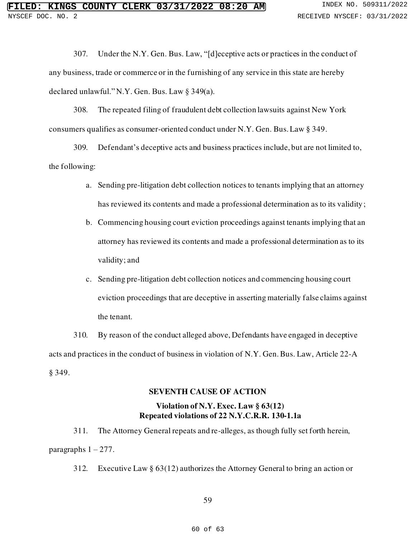307. Under the N.Y. Gen. Bus. Law, "[d]eceptive acts or practices in the conduct of any business, trade or commerce or in the furnishing of any service in this state are hereby declared unlawful." N.Y. Gen. Bus. Law § 349(a).

308. The repeated filing of fraudulent debt collection lawsuits against New York consumers qualifies as consumer-oriented conduct under N.Y. Gen. Bus. Law § 349.

309. Defendant's deceptive acts and business practices include, but are not limited to, the following:

- a. Sending pre-litigation debt collection notices to tenants implying that an attorney has reviewed its contents and made a professional determination as to its validity;
- b. Commencing housing court eviction proceedings against tenants implying that an attorney has reviewed its contents and made a professional determination as to its validity; and
- c. Sending pre-litigation debt collection notices and commencing housing court eviction proceedings that are deceptive in asserting materially false claims against the tenant.

310. By reason of the conduct alleged above, Defendants have engaged in deceptive acts and practices in the conduct of business in violation of N.Y. Gen. Bus. Law, Article 22-A § 349.

## **SEVENTH CAUSE OF ACTION**

## **Violation of N.Y. Exec. Law § 63(12) Repeated violations of 22 N.Y.C.R.R. 130-1.1a**

311. The Attorney General repeats and re-alleges, as though fully set forth herein, paragraphs  $1 - 277$ .

312. Executive Law § 63(12) authorizes the Attorney General to bring an action or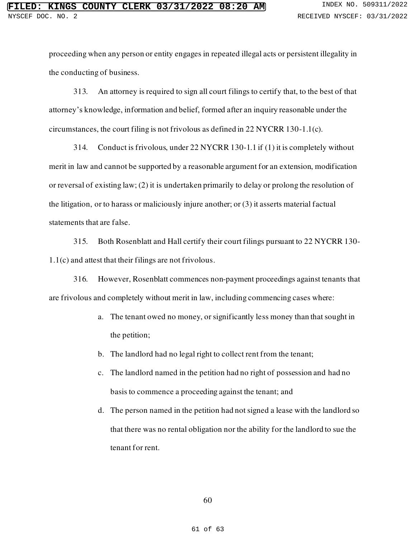proceeding when any person or entity engages in repeated illegal acts or persistent illegality in the conducting of business.

313. An attorney is required to sign all court filings to certify that, to the best of that attorney's knowledge, information and belief, formed after an inquiry reasonable under the circumstances, the court filing is not frivolous as defined in 22 NYCRR 130-1.1(c).

314. Conduct is frivolous, under 22 NYCRR 130-1.1 if (1) it is completely without merit in law and cannot be supported by a reasonable argument for an extension, modification or reversal of existing law; (2) it is undertaken primarily to delay or prolong the resolution of the litigation, or to harass or maliciously injure another; or (3) it asserts material factual statements that are false.

315. Both Rosenblatt and Hall certify their court filings pursuant to 22 NYCRR 130- 1.1(c) and attest that their filings are not frivolous.

316. However, Rosenblatt commences non-payment proceedings against tenants that are frivolous and completely without merit in law, including commencing cases where:

- a. The tenant owed no money, or significantly less money than that sought in the petition;
- b. The landlord had no legal right to collect rent from the tenant;
- c. The landlord named in the petition had no right of possession and had no basis to commence a proceeding against the tenant; and
- d. The person named in the petition had not signed a lease with the landlord so that there was no rental obligation nor the ability for the landlord to sue the tenant for rent.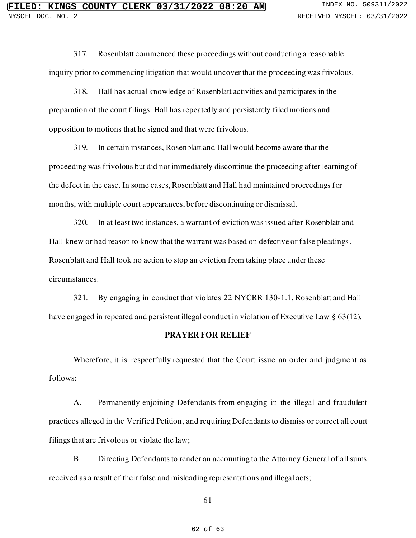317. Rosenblatt commenced these proceedings without conducting a reasonable inquiry prior to commencing litigation that would uncover that the proceeding was frivolous.

318. Hall has actual knowledge of Rosenblatt activities and participates in the preparation of the court filings. Hall has repeatedly and persistently filed motions and opposition to motions that he signed and that were frivolous.

319. In certain instances, Rosenblatt and Hall would become aware that the proceeding was frivolous but did not immediately discontinue the proceeding after learning of the defect in the case. In some cases, Rosenblatt and Hall had maintained proceedings for months, with multiple court appearances, before discontinuing or dismissal.

320. In at least two instances, a warrant of eviction was issued after Rosenblatt and Hall knew or had reason to know that the warrant was based on defective or false pleadings. Rosenblatt and Hall took no action to stop an eviction from taking place under these circumstances.

321. By engaging in conduct that violates 22 NYCRR 130-1.1, Rosenblatt and Hall have engaged in repeated and persistent illegal conduct in violation of Executive Law § 63(12).

#### **PRAYER FOR RELIEF**

Wherefore, it is respectfully requested that the Court issue an order and judgment as follows:

A. Permanently enjoining Defendants from engaging in the illegal and fraudulent practices alleged in the Verified Petition, and requiring Defendants to dismiss or correct all court filings that are frivolous or violate the law;

B. Directing Defendants to render an accounting to the Attorney General of all sums received as a result of their false and misleading representations and illegal acts;